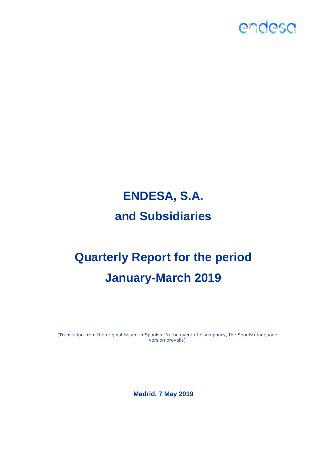

# **ENDESA, S.A. and Subsidiaries**

# **Quarterly Report for the period January-March 2019**

(Translation from the original issued in Spanish. In the event of discrepancy, the Spanish-language version prevails)

**Madrid, 7 May 2019**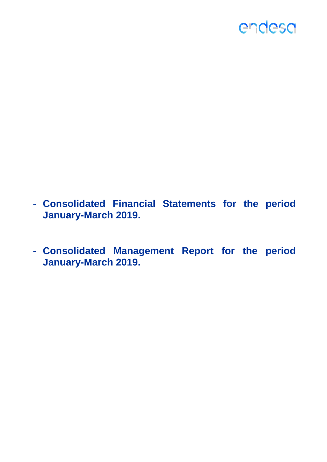

- **Consolidated Financial Statements for the period January-March 2019.**
- **Consolidated Management Report for the period January-March 2019.**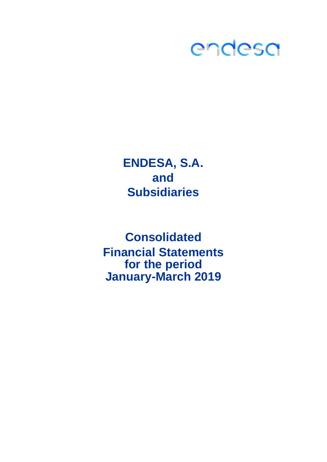

**ENDESA, S.A. and Subsidiaries**

**Consolidated for the period January-March 2019 Financial Statements**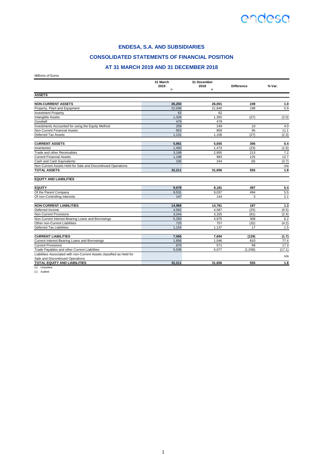#### **ENDESA, S.A. AND SUBSIDIARIES**

#### **CONSOLIDATED STATEMENTS OF FINANCIAL POSITION**

#### **AT 31 MARCH 2019 AND 31 DECEMBER 2018**

Millions of Euros

|                                                                       | 31 March    | 31 December |                   |        |
|-----------------------------------------------------------------------|-------------|-------------|-------------------|--------|
|                                                                       | 2019<br>(1) | 2018<br>(1) | <b>Difference</b> | % Var. |
| <b>ASSETS</b>                                                         |             |             |                   |        |
|                                                                       |             |             |                   |        |
| <b>NON-CURRENT ASSETS</b>                                             | 26.250      | 26.001      | 249               | 1.0    |
| Property, Plant and Equipment                                         | 22,038      | 21.840      | 198               | 0.9    |
| <b>Investment Property</b>                                            | 62          | 62          |                   |        |
| Intangible Assets                                                     | 1,328       | 1,355       | (27)              | (2.0)  |
| Goodwill                                                              | 479         | 479         |                   |        |
| Investments Accounted for using the Equity Method                     | 259         | 249         | 10                | 4.0    |
| Non-Current Financial Assets                                          | 953         | 858         | 95                | 11.1   |
| <b>Deferred Tax Assets</b>                                            | 1.131       | 1.158       | (27)              | (2.3)  |
| <b>CURRENT ASSETS</b>                                                 | 5,961       | 5,655       | 306               | 5.4    |
| Inventories                                                           | 1,450       | 1,473       | (23)              | (1.6)  |
| Trade and other Receivables                                           | 3.168       | 2.955       | 213               | 7.2    |
| <b>Current Financial Assets</b>                                       | 1,108       | 983         | 125               | 12.7   |
| Cash and Cash Equivalents                                             | 235         | 244         | (9)               | (3.7)  |
| Non-Current Assets Held for Sale and Discontinued Operations          |             |             |                   | n/a    |
| <b>TOTAL ASSETS</b>                                                   | 32.211      | 31,656      | 555               | 1.8    |
| <b>EQUITY AND LIABILITIES</b>                                         |             |             |                   |        |
|                                                                       |             |             |                   |        |
| <b>EQUITY</b>                                                         | 9.678       | 9,181       | 497               | 5.4    |
| Of the Parent Company                                                 | 9,531       | 9,037       | 494               | 5.5    |
| Of non-Controlling Interests                                          | 147         | 144         | 3                 | 2.1    |
| <b>NON-CURRENT LIABILITIES</b>                                        | 14,968      | 14,781      | 187               | $1.3$  |
| Deferred Income                                                       | 4,562       | 4,587       | (25)              | (0.5)  |
| Non-Current Provisions                                                | 3,244       | 3,325       | (81)              | (2.4)  |
| Non-Current Interest-Bearing Loans and Borrowings                     | 5.283       | 4.975       | 308               | 6.2    |
| Other non-Current Liabilities                                         | 725         | 757         | (32)              | (4.2)  |
| <b>Deferred Tax Liabilities</b>                                       | 1.154       | 1.137       | 17                | 1.5    |
| <b>CURRENT LIABILITIES</b>                                            | 7,565       | 7,694       | (129)             | (1.7)  |
| Current Interest-Bearing Loans and Borrowings                         | 1.856       | 1.046       | 810               | 77.4   |
| <b>Current Provisions</b>                                             | 670         | 571         | 99                | 17.3   |
| Trade Payables and other Current Liabilities                          | 5,039       | 6,077       | (1,038)           | (17.1) |
| Liabilities Associated with non-Current Assets classified as Held for |             |             |                   |        |
| Sale and Discontinued Operations                                      |             |             |                   | n/a    |
| TOTAL EQUITY AND LIABILITIES                                          | 32,211      | 31.656      | 555               | 1.8    |

(1) Unaudited (1) Audited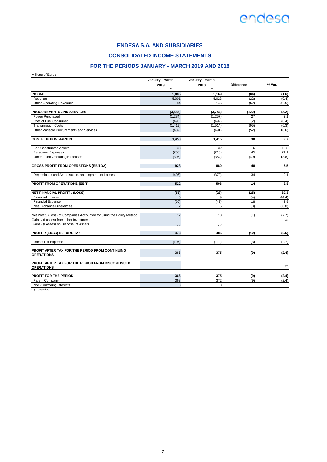

**CONSOLIDATED INCOME STATEMENTS**

#### **FOR THE PERIODS JANUARY - MARCH 2019 AND 2018**

Millions of Euros

| 2019<br>2018<br><b>Difference</b><br>(1)<br>(1)<br><b>INCOME</b><br>5.085<br>5.169<br>(84)<br>Revenue<br>5,023<br>5,001<br>(22)<br>Other Operating Revenues<br>84<br>146<br>(62)<br>PROCUREMENTS AND SERVICES<br>(3,632)<br>(3,754)<br>(122)<br>(1, 284)<br>Power Purchased<br>(1, 257)<br>27<br>(2)<br>Cost of Fuel Consumed<br>(490)<br>(492)<br><b>Transmission Costs</b><br>(1, 514)<br>(95)<br>(1, 419)<br>Other Variable Procurements and Services<br>(439)<br>(52)<br>(491)<br><b>CONTRIBUTION MARGIN</b><br>1,453<br>1,415<br>38<br>Self-Constructed Assets<br>38<br>32<br>6<br>(258)<br>45<br><b>Personnel Expenses</b><br>(213)<br>Other Fixed Operating Expenses<br>(305)<br>(354)<br>(49) |        |
|-------------------------------------------------------------------------------------------------------------------------------------------------------------------------------------------------------------------------------------------------------------------------------------------------------------------------------------------------------------------------------------------------------------------------------------------------------------------------------------------------------------------------------------------------------------------------------------------------------------------------------------------------------------------------------------------------------|--------|
|                                                                                                                                                                                                                                                                                                                                                                                                                                                                                                                                                                                                                                                                                                       | % Var. |
|                                                                                                                                                                                                                                                                                                                                                                                                                                                                                                                                                                                                                                                                                                       | (1.6)  |
|                                                                                                                                                                                                                                                                                                                                                                                                                                                                                                                                                                                                                                                                                                       | (0.4)  |
|                                                                                                                                                                                                                                                                                                                                                                                                                                                                                                                                                                                                                                                                                                       | (42.5) |
|                                                                                                                                                                                                                                                                                                                                                                                                                                                                                                                                                                                                                                                                                                       | (3.2)  |
|                                                                                                                                                                                                                                                                                                                                                                                                                                                                                                                                                                                                                                                                                                       | 2.1    |
|                                                                                                                                                                                                                                                                                                                                                                                                                                                                                                                                                                                                                                                                                                       | (0.4)  |
|                                                                                                                                                                                                                                                                                                                                                                                                                                                                                                                                                                                                                                                                                                       | (6.3)  |
|                                                                                                                                                                                                                                                                                                                                                                                                                                                                                                                                                                                                                                                                                                       | (10.6) |
|                                                                                                                                                                                                                                                                                                                                                                                                                                                                                                                                                                                                                                                                                                       | 2.7    |
|                                                                                                                                                                                                                                                                                                                                                                                                                                                                                                                                                                                                                                                                                                       | 18.8   |
|                                                                                                                                                                                                                                                                                                                                                                                                                                                                                                                                                                                                                                                                                                       | 21.1   |
|                                                                                                                                                                                                                                                                                                                                                                                                                                                                                                                                                                                                                                                                                                       | (13.8) |
| <b>GROSS PROFIT FROM OPERATIONS (EBITDA)</b><br>928<br>48<br>880                                                                                                                                                                                                                                                                                                                                                                                                                                                                                                                                                                                                                                      | 5.5    |
| Depreciation and Amortisation, and Impairment Losses<br>(406)<br>(372)<br>34                                                                                                                                                                                                                                                                                                                                                                                                                                                                                                                                                                                                                          | 9.1    |
| PROFIT FROM OPERATIONS (EBIT)<br>522<br>508<br>14                                                                                                                                                                                                                                                                                                                                                                                                                                                                                                                                                                                                                                                     | 2.8    |
| <b>NET FINANCIAL PROFIT / (LOSS)</b><br>(53)<br>(28)<br>(25)                                                                                                                                                                                                                                                                                                                                                                                                                                                                                                                                                                                                                                          | 89.3   |
| Financial Income<br>5<br>9<br>(4)                                                                                                                                                                                                                                                                                                                                                                                                                                                                                                                                                                                                                                                                     | (44.4) |
| (60)<br>(42)<br>18<br><b>Financial Expense</b>                                                                                                                                                                                                                                                                                                                                                                                                                                                                                                                                                                                                                                                        | 42.9   |
| Net Exchange Differences<br>2<br>(3)<br>5                                                                                                                                                                                                                                                                                                                                                                                                                                                                                                                                                                                                                                                             | (60.0) |
| 12<br>Net Profit / (Loss) of Companies Accounted for using the Equity Method<br>13<br>(1)                                                                                                                                                                                                                                                                                                                                                                                                                                                                                                                                                                                                             | (7.7)  |
| Gains / (Losses) from other Investments                                                                                                                                                                                                                                                                                                                                                                                                                                                                                                                                                                                                                                                               | n/a    |
| Gains / (Losses) on Disposal of Assets<br>(8)<br>(8)                                                                                                                                                                                                                                                                                                                                                                                                                                                                                                                                                                                                                                                  |        |
| <b>PROFIT / (LOSS) BEFORE TAX</b><br>473<br>485<br>(12)                                                                                                                                                                                                                                                                                                                                                                                                                                                                                                                                                                                                                                               | (2.5)  |
| Income Tax Expense<br>(107)<br>(110)<br>(3)                                                                                                                                                                                                                                                                                                                                                                                                                                                                                                                                                                                                                                                           | (2.7)  |
| PROFIT AFTER TAX FOR THE PERIOD FROM CONTINUING<br>366<br>375<br>(9)                                                                                                                                                                                                                                                                                                                                                                                                                                                                                                                                                                                                                                  | (2.4)  |
| <b>OPERATIONS</b>                                                                                                                                                                                                                                                                                                                                                                                                                                                                                                                                                                                                                                                                                     |        |
| PROFIT AFTER TAX FOR THE PERIOD FROM DISCONTINUED<br><b>OPERATIONS</b>                                                                                                                                                                                                                                                                                                                                                                                                                                                                                                                                                                                                                                | n/a    |
| PROFIT FOR THE PERIOD<br>366<br>375<br>(9)                                                                                                                                                                                                                                                                                                                                                                                                                                                                                                                                                                                                                                                            | (2.4)  |
| 363<br>372<br>(9)<br>Parent Company                                                                                                                                                                                                                                                                                                                                                                                                                                                                                                                                                                                                                                                                   | (2.4)  |
| 3<br>3<br>Non-Controlling Interests                                                                                                                                                                                                                                                                                                                                                                                                                                                                                                                                                                                                                                                                   |        |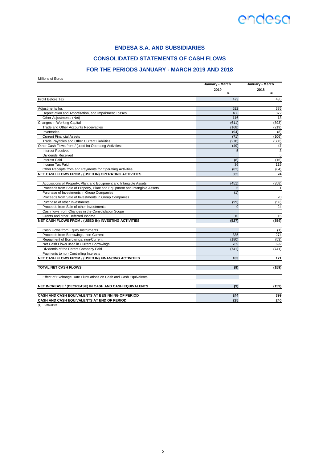### **ENDESA S.A. AND SUBSIDIARIES**

### **CONSOLIDATED STATEMENTS OF CASH FLOWS**

### **FOR THE PERIODS JANUARY - MARCH 2019 AND 2018**

Millions of Euros

|                                                                           | January - March | January - March |  |
|---------------------------------------------------------------------------|-----------------|-----------------|--|
|                                                                           | 2019<br>(1)     | 2018<br>(1)     |  |
| Profit Before Tax                                                         | 473             | 485             |  |
| Adjustments for:                                                          | 522             | 385             |  |
| Depreciation and Amortisation, and Impairment Losses                      | 406             | 372             |  |
| Other Adjustments (Net)                                                   | 116             | 13              |  |
| Changes in Working Capital                                                | (611)           | (893)           |  |
| Trade and Other Accounts Receivables                                      | (168)           | (219)           |  |
| Inventories                                                               | (94)            | (8)             |  |
| <b>Current Financial Assets</b>                                           | (71)            | (106)           |  |
| Trade Pavables and Other Current Liabilities                              | (278)           | (560)           |  |
| Other Cash Flows from / (used in) Operating Activities:                   | (49)            | 47              |  |
| <b>Interest Received</b>                                                  | 5               | 3               |  |
| <b>Dividends Received</b>                                                 |                 | 5               |  |
| Interest Paid                                                             | (8)             | (16)            |  |
| Income Tax Paid                                                           | 36              | 119             |  |
| Other Receipts from and Payments for Operating Activities                 | (82)            | (64)            |  |
| NET CASH FLOWS FROM / (USED IN) OPERATING ACTIVITIES                      | 335             | 24              |  |
| Acquisitions of Property, Plant and Equipment and Intangible Assets       | (451)           | (358)           |  |
| Proceeds from Sale of Property, Plant and Equipment and Intangible Assets | 5               | $\mathbf{1}$    |  |
| Purchase of Investments in Group Companies                                | (1)             |                 |  |
| Proceeds from Sale of Investments in Group Companies                      |                 | 20              |  |
| Purchase of other Investments                                             | (99)            | (56)            |  |
| Proceeds from Sale of other Investments                                   | 9               | 24              |  |
| Cash flows from Changes in the Consolidation Scope                        |                 |                 |  |
| Grants and other Deferred Income                                          | 10              | 15              |  |
| NET CASH FLOWS FROM / (USED IN) INVESTING ACTIVITIES                      | (527)           | (354)           |  |
| Cash Flows from Equity Instruments                                        |                 | (1)             |  |
| Proceeds from Borrowings, non-Current                                     | 335             | 274             |  |
| Repayment of Borrowings, non-Current                                      | (180)           | (53)            |  |
| Net Cash Flows used in Current Borrowings                                 | 769             | 692             |  |
| Dividends of the Parent Company Paid                                      | (741)           | (741)           |  |
| Payments to non-Controlling Interests                                     |                 |                 |  |
| NET CASH FLOWS FROM / (USED IN) FINANCING ACTIVITIES                      | 183             | 171             |  |
| <b>TOTAL NET CASH FLOWS</b>                                               | (9)             | (159)           |  |
| Effect of Exchange Rate Fluctuations on Cash and Cash Equivalents         |                 |                 |  |
| NET INCREASE / (DECREASE) IN CASH AND CASH EQUIVALENTS                    | (9)             | (159)           |  |
| CASH AND CASH EQUIVALENTS AT BEGINNING OF PERIOD                          | 244             | 399             |  |
| CASH AND CASH EQUIVALENTS AT END OF PERIOD                                | 235             | 240             |  |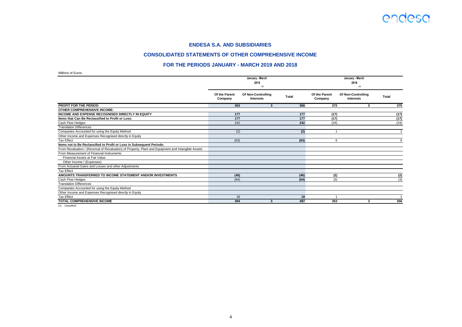

#### **CONSOLIDATED STATEMENTS OF OTHER COMPREHENSIVE INCOME**

#### **FOR THE PERIODS JANUARY - MARCH 2019 AND 2018**

Millions of Euros

| <b>NUMBER OF EXAMPLE</b>                                                                            |                          |                                        |              |                          |                                        |              |
|-----------------------------------------------------------------------------------------------------|--------------------------|----------------------------------------|--------------|--------------------------|----------------------------------------|--------------|
|                                                                                                     |                          | January - March                        |              |                          | January - March                        |              |
|                                                                                                     |                          | 2019                                   |              |                          | 2018                                   |              |
|                                                                                                     |                          | (1)                                    |              |                          | (1)                                    |              |
|                                                                                                     | Of the Parent<br>Company | Of Non-Controlling<br><b>Interests</b> | <b>Total</b> | Of the Parent<br>Company | Of Non-Controlling<br><b>Interests</b> | <b>Total</b> |
| <b>PROFIT FOR THE PERIOD</b>                                                                        | 363                      | 3                                      | 366          | 372                      | 3                                      | 375          |
| <b>OTHER COMPREHENSIVE INCOME:</b>                                                                  |                          |                                        |              |                          |                                        |              |
| <b>INCOME AND EXPENSE RECOGNISED DIRECTLY IN EQUITY</b>                                             | 177                      |                                        | 177          | (17)                     |                                        | (17)         |
| Items that Can Be Reclassified to Profit or Loss:                                                   | 177                      |                                        | 177          | (17)                     |                                        | (17)         |
| Cash Flow Hedges                                                                                    | 242                      |                                        | 242          | (24)                     |                                        | (24)         |
| <b>Translation Differences</b>                                                                      |                          |                                        |              |                          |                                        |              |
| Companies Accounted for using the Equity Method                                                     | (2)                      |                                        | (2)          |                          |                                        |              |
| Other Income and Expenses Recognised directly in Equity                                             |                          |                                        |              |                          |                                        |              |
| <b>Tax Effect</b>                                                                                   | (63)                     |                                        | (63)         | 6                        |                                        | ĥ            |
| Items not to Be Reclassified to Profit or Loss in Subsequent Periods:                               |                          |                                        |              |                          |                                        |              |
| From Revaluation / (Reversal of Revaluation) of Property, Plant and Equipment and Intangible Assets |                          |                                        |              |                          |                                        |              |
| From Measurement of Financial Instruments                                                           |                          |                                        |              |                          |                                        |              |
| Financial Assets at Fair Value                                                                      |                          |                                        |              |                          |                                        |              |
| Other Income / (Expenses)                                                                           |                          |                                        |              |                          |                                        |              |
| From Actuarial Gains and Losses and other Adjustments                                               |                          |                                        |              |                          |                                        |              |
| <b>Tax Effect</b>                                                                                   |                          |                                        |              |                          |                                        |              |
| AMOUNTS TRANSFERRED TO INCOME STATEMENT AND/OR INVESTMENTS                                          | (46)                     |                                        | (46)         | (2)                      |                                        | (2)          |
| Cash Flow Hedges                                                                                    | (64)                     |                                        | (64)         | (3)                      |                                        | (3)          |
| <b>Translation Differences</b>                                                                      |                          |                                        |              |                          |                                        |              |
| Companies Accounted for using the Equity Method                                                     |                          |                                        |              |                          |                                        |              |
| Other Income and Expenses Recognised directly in Equity                                             |                          |                                        |              |                          |                                        |              |
| <b>Tax Effect</b>                                                                                   | 18                       |                                        | 18           |                          |                                        |              |
| <b>TOTAL COMPREHENSIVE INCOME</b>                                                                   | 494                      | 3                                      | 497          | 353                      | 3                                      | 356          |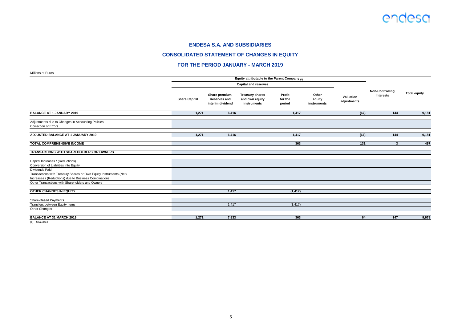#### **CONSOLIDATED STATEMENT OF CHANGES IN EQUITY**

#### **FOR THE PERIOD JANUARY - MARCH 2019**

Millions of Euros

| <b>INITIOTIS OF LATOS</b>                                         |                      |                                                           | Equity attributable to the Parent Company (1)           |                             |                                |                          |                                     |                     |
|-------------------------------------------------------------------|----------------------|-----------------------------------------------------------|---------------------------------------------------------|-----------------------------|--------------------------------|--------------------------|-------------------------------------|---------------------|
|                                                                   |                      |                                                           | <b>Capital and reserves</b>                             |                             |                                |                          |                                     |                     |
|                                                                   |                      |                                                           |                                                         |                             |                                |                          |                                     |                     |
|                                                                   | <b>Share Capital</b> | Share premium,<br><b>Reserves and</b><br>interim dividend | <b>Treasury shares</b><br>and own equity<br>instruments | Profit<br>for the<br>period | Other<br>equity<br>instruments | Valuation<br>adjustments | <b>Non-Controlling</b><br>Interests | <b>Total equity</b> |
| <b>BALANCE AT 1 JANUARY 2019</b>                                  | 1.271                | 6,416                                                     |                                                         | 1,417                       |                                | (67)                     | 144                                 | 9,181               |
| Adjustments due to Changes in Accounting Policies                 |                      |                                                           |                                                         |                             |                                |                          |                                     |                     |
| Correction of Errors                                              |                      |                                                           |                                                         |                             |                                |                          |                                     |                     |
| ADJUSTED BALANCE AT 1 JANUARY 2019                                | 1,271                | 6,416                                                     |                                                         | 1,417                       |                                | (67)                     | 144                                 | 9,181               |
| <b>TOTAL COMPREHENSIVE INCOME</b>                                 |                      |                                                           |                                                         | 363                         |                                | 131                      | 3                                   | 497                 |
| TRANSACTIONS WITH SHAREHOLDERS OR OWNERS                          |                      |                                                           |                                                         |                             |                                |                          |                                     |                     |
| Capital Increases / (Reductions)                                  |                      |                                                           |                                                         |                             |                                |                          |                                     |                     |
| Conversion of Liabilities into Equity                             |                      |                                                           |                                                         |                             |                                |                          |                                     |                     |
| Dividends Paid                                                    |                      |                                                           |                                                         |                             |                                |                          |                                     |                     |
| Transactions with Treasury Shares or Own Equity Instruments (Net) |                      |                                                           |                                                         |                             |                                |                          |                                     |                     |
| Increases / (Reductions) due to Business Combinations             |                      |                                                           |                                                         |                             |                                |                          |                                     |                     |
| Other Transactions with Shareholders and Owners                   |                      |                                                           |                                                         |                             |                                |                          |                                     |                     |
| <b>OTHER CHANGES IN EQUITY</b>                                    |                      | 1,417                                                     |                                                         | (1, 417)                    |                                |                          |                                     |                     |
| Share-Based Payments                                              |                      |                                                           |                                                         |                             |                                |                          |                                     |                     |
| Transfers between Equity Items                                    |                      | 1,417                                                     |                                                         | (1, 417)                    |                                |                          |                                     |                     |
| Other Changes                                                     |                      |                                                           |                                                         |                             |                                |                          |                                     |                     |
| <b>BALANCE AT 31 MARCH 2019</b>                                   | 1,271                | 7,833                                                     |                                                         | 363                         |                                | 64                       | 147                                 | 9,678               |
|                                                                   |                      |                                                           |                                                         |                             |                                |                          |                                     |                     |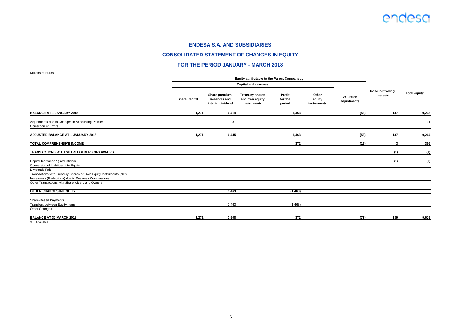#### **CONSOLIDATED STATEMENT OF CHANGES IN EQUITY**

#### **FOR THE PERIOD JANUARY - MARCH 2018**

Millions of Euros

| <b>NIIIIUIIS UL EUIUS</b>                                                                                                                                                     |                      |                                                           |                                                         |                             |                                |                          |                                     |                     |
|-------------------------------------------------------------------------------------------------------------------------------------------------------------------------------|----------------------|-----------------------------------------------------------|---------------------------------------------------------|-----------------------------|--------------------------------|--------------------------|-------------------------------------|---------------------|
|                                                                                                                                                                               |                      |                                                           | Equity attributable to the Parent Company (1)           |                             |                                |                          |                                     |                     |
|                                                                                                                                                                               |                      |                                                           | <b>Capital and reserves</b>                             |                             |                                |                          | <b>Non-Controlling</b><br>Interests | <b>Total equity</b> |
|                                                                                                                                                                               | <b>Share Capital</b> | Share premium,<br><b>Reserves and</b><br>interim dividend | <b>Treasury shares</b><br>and own equity<br>instruments | Profit<br>for the<br>period | Other<br>equity<br>instruments | Valuation<br>adjustments |                                     |                     |
| <b>BALANCE AT 1 JANUARY 2018</b>                                                                                                                                              | 1,271                | 6,414                                                     |                                                         | 1,463                       |                                | (52)                     | 137                                 | 9,233               |
| Adjustments due to Changes in Accounting Policies<br>Correction of Errors                                                                                                     |                      | 31                                                        |                                                         |                             |                                |                          |                                     | 31                  |
| ADJUSTED BALANCE AT 1 JANUARY 2018                                                                                                                                            | 1,271                | 6,445                                                     |                                                         | 1,463                       |                                | (52)                     | 137                                 | 9,264               |
| <b>TOTAL COMPREHENSIVE INCOME</b>                                                                                                                                             |                      |                                                           |                                                         | 372                         |                                | (19)                     | 3                                   | 356                 |
| TRANSACTIONS WITH SHAREHOLDERS OR OWNERS                                                                                                                                      |                      |                                                           |                                                         |                             |                                |                          | (1)                                 | (1)                 |
| Capital Increases / (Reductions)<br>Conversion of Liabilities into Equity                                                                                                     |                      |                                                           |                                                         |                             |                                |                          | (1)                                 | (1)                 |
| Dividends Paid                                                                                                                                                                |                      |                                                           |                                                         |                             |                                |                          |                                     |                     |
| Transactions with Treasury Shares or Own Equity Instruments (Net)<br>Increases / (Reductions) due to Business Combinations<br>Other Transactions with Shareholders and Owners |                      |                                                           |                                                         |                             |                                |                          |                                     |                     |
| <b>OTHER CHANGES IN EQUITY</b>                                                                                                                                                |                      | 1,463                                                     |                                                         | (1, 463)                    |                                |                          |                                     |                     |
| Share-Based Payments<br>Transfers between Equity Items<br>Other Changes                                                                                                       |                      | 1,463                                                     |                                                         | (1, 463)                    |                                |                          |                                     |                     |
| <b>BALANCE AT 31 MARCH 2018</b>                                                                                                                                               | 1,271                | 7.908                                                     |                                                         | 372                         |                                | (71)                     | 139                                 | 9,619               |
|                                                                                                                                                                               |                      |                                                           |                                                         |                             |                                |                          |                                     |                     |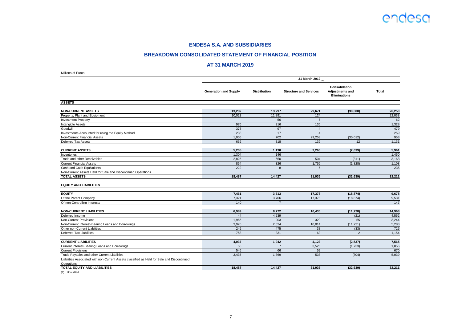#### **BREAKDOWN CONSOLIDATED STATEMENT OF FINANCIAL POSITION**

#### **AT 31 MARCH 2019**

| Millions of Euros                                                                           |                              |                     |                               |                                                         |              |
|---------------------------------------------------------------------------------------------|------------------------------|---------------------|-------------------------------|---------------------------------------------------------|--------------|
|                                                                                             |                              |                     | 31 March 2019 (1)             |                                                         |              |
|                                                                                             | <b>Generation and Supply</b> | <b>Distribution</b> | <b>Structure and Services</b> | Consolidation<br><b>Adjustments and</b><br>Eliminations | <b>Total</b> |
| <b>ASSETS</b>                                                                               |                              |                     |                               |                                                         |              |
| <b>NON-CURRENT ASSETS</b>                                                                   | 13,282                       | 13,297              | 29,671                        | (30,000)                                                | 26,250       |
| Property, Plant and Equipment                                                               | 10,023                       | 11,891              | 124                           |                                                         | 22,038       |
| <b>Investment Property</b>                                                                  |                              | 56                  | 6                             |                                                         | 62           |
| Intangible Assets                                                                           | 976                          | 216                 | 136                           |                                                         | 1,328        |
| Goodwill                                                                                    | 378                          | 97                  | $\overline{4}$                |                                                         | 479          |
| Investments Accounted for using the Equity Method                                           | 238                          | 17                  | $\overline{4}$                |                                                         | 259          |
| Non-Current Financial Assets                                                                | 1,005                        | 702                 | 29,258                        | (30, 012)                                               | 953          |
| Deferred Tax Assets                                                                         | 662                          | 318                 | 139                           | 12                                                      | 1,131        |
| <b>CURRENT ASSETS</b>                                                                       | 5,205                        | 1,130               | 2,265                         | (2,639)                                                 | 5,961        |
| Inventories                                                                                 | 1,304                        | 146                 |                               |                                                         | 1,450        |
| Trade and other Receivables                                                                 | 2,825                        | 650                 | 504                           | (811)                                                   | 3,168        |
| <b>Current Financial Assets</b>                                                             | 854                          | 326                 | 1,756                         | (1,828)                                                 | 1,108        |
| Cash and Cash Equivalents                                                                   | 222                          | 8                   | 5                             |                                                         | 235          |
| Non-Current Assets Held for Sale and Discontinued Operations                                |                              |                     |                               |                                                         |              |
| <b>TOTAL ASSETS</b>                                                                         | 18,487                       | 14,427              | 31,936                        | (32, 639)                                               | 32,211       |
| <b>EQUITY AND LIABILITIES</b>                                                               |                              |                     |                               |                                                         |              |
| <b>EQUITY</b>                                                                               | 7,461                        | 3,713               | 17,378                        | (18, 874)                                               | 9,678        |
| Of the Parent Company                                                                       | 7,321                        | 3,706               | 17,378                        | (18, 874)                                               | 9,531        |
| Of non-Controlling Interests                                                                | 140                          | $\overline{7}$      |                               |                                                         | 147          |
| <b>NON-CURRENT LIABILITIES</b>                                                              | 6,989                        | 8,772               | 10,435                        | (11, 228)                                               | 14,968       |
| Deferred Income                                                                             | 44                           | 4,539               |                               | (21)                                                    | 4,562        |
| Non-Current Provisions                                                                      | 1,966                        | 903                 | 320                           | 55                                                      | 3,244        |
| Non-Current Interest-Bearing Loans and Borrowings                                           | 3,976                        | 2,524               | 10,014                        | (11, 231)                                               | 5,283        |
| Other non-Current Liabilities                                                               | 245                          | 475                 | 38                            | (33)                                                    | 725          |
| Deferred Tax Liabilities                                                                    | 758                          | 331                 | 63                            | $\overline{2}$                                          | 1,154        |
| <b>CURRENT LIABILITIES</b>                                                                  | 4,037                        | 1,942               | 4,123                         | (2,537)                                                 | 7,565        |
| Current Interest-Bearing Loans and Borrowings                                               | 56                           | $\overline{7}$      | 3,526                         | (1,733)                                                 | 1,856        |
| <b>Current Provisions</b>                                                                   | 545                          | 66                  | 59                            |                                                         | 670          |
| Trade Payables and other Current Liabilities                                                | 3,436                        | 1,869               | 538                           | (804)                                                   | 5,039        |
| Liabilities Associated with non-Current Assets classified as Held for Sale and Discontinued |                              |                     |                               |                                                         |              |
| Operations                                                                                  |                              |                     |                               |                                                         |              |
| <b>TOTAL EQUITY AND LIABILITIES</b>                                                         | 18.487                       | 14.427              | 31.936                        | (32, 639)                                               | 32.211       |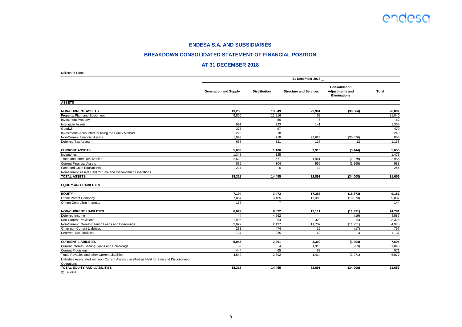#### **BREAKDOWN CONSOLIDATED STATEMENT OF FINANCIAL POSITION**

#### **AT 31 DECEMBER 2018**

| Millions of Euros                                                                           |                              |                     |                                 |                                                  |              |
|---------------------------------------------------------------------------------------------|------------------------------|---------------------|---------------------------------|--------------------------------------------------|--------------|
|                                                                                             |                              |                     | 31 December 2018 <sub>(1)</sub> |                                                  |              |
|                                                                                             | <b>Generation and Supply</b> | <b>Distribution</b> | <b>Structure and Services</b>   | Consolidation<br>Adjustments and<br>Eliminations | <b>Total</b> |
| <b>ASSETS</b>                                                                               |                              |                     |                                 |                                                  |              |
| <b>NON-CURRENT ASSETS</b>                                                                   | 13,235                       | 13,349              | 29,981                          | (30, 564)                                        | 26,001       |
| Property, Plant and Equipment                                                               | 9,856                        | 11,916              | 68                              |                                                  | 21,840       |
| <b>Investment Property</b>                                                                  |                              | 56                  | 6                               |                                                  | 62           |
| Intangible Assets                                                                           | 991                          | 223                 | 141                             |                                                  | 1,355        |
| Goodwill                                                                                    | 378                          | 97                  | $\overline{4}$                  |                                                  | 479          |
| Investments Accounted for using the Equity Method                                           | 229                          | 18                  | $\overline{2}$                  |                                                  | 249          |
| Non-Current Financial Assets                                                                | 1,093                        | 718                 | 29,623                          | (30, 576)                                        | 858          |
| Deferred Tax Assets                                                                         | 688                          | 321                 | 137                             | 12                                               | 1,158        |
| <b>CURRENT ASSETS</b>                                                                       | 5,083                        | 1,106               | 2.910                           | (3, 444)                                         | 5,655        |
| Inventories                                                                                 | 1,348                        | 125                 |                                 |                                                  | 1,473        |
| Trade and other Receivables                                                                 | 2,622                        | 671                 | 1,941                           | (2, 279)                                         | 2,955        |
| <b>Current Financial Assets</b>                                                             | 889                          | 304                 | 955                             | (1, 165)                                         | 983          |
| Cash and Cash Equivalents                                                                   | 224                          | 6                   | 14                              |                                                  | 244          |
| Non-Current Assets Held for Sale and Discontinued Operations                                |                              |                     |                                 |                                                  |              |
| <b>TOTAL ASSETS</b>                                                                         | 18,318                       | 14,455              | 32,891                          | (34,008)                                         | 31,656       |
| <b>EQUITY AND LIABILITIES</b>                                                               |                              |                     |                                 |                                                  |              |
| <b>EQUITY</b>                                                                               | 7,194                        | 3.472               | 17,388                          | (18, 873)                                        | 9,181        |
| Of the Parent Company                                                                       | 7,057                        | 3,465               | 17,388                          | (18, 873)                                        | 9,037        |
| Of non-Controlling Interests                                                                | 137                          | $\overline{7}$      |                                 |                                                  | 144          |
| <b>NON-CURRENT LIABILITIES</b>                                                              | 6,079                        | 8.522               | 12,111                          | (11, 931)                                        | 14,781       |
| Deferred Income                                                                             | 44                           | 4,562               |                                 | (19)                                             | 4,587        |
| Non-Current Provisions                                                                      | 1,995                        | 954                 | 323                             | 53                                               | 3,325        |
| Non-Current Interest-Bearing Loans and Borrowings                                           | 3,022                        | 2,197               | 11,707                          | (11, 951)                                        | 4,975        |
| Other non-Current Liabilities                                                               | 281                          | 474                 | 19                              | (17)                                             | 757          |
| Deferred Tax Liabilities                                                                    | 737                          | 335                 | 62                              | 3                                                | 1,137        |
| <b>CURRENT LIABILITIES</b>                                                                  | 5,045                        | 2,461               | 3,392                           | (3,204)                                          | 7,694        |
| Current Interest-Bearing Loans and Borrowings                                               | 59                           | 4                   | 1,916                           | (933)                                            | 1,046        |
| <b>Current Provisions</b>                                                                   | 444                          | 65                  | 62                              |                                                  | 571          |
| Trade Payables and other Current Liabilities                                                | 4,542                        | 2,392               | 1,414                           | (2,271)                                          | 6,077        |
| Liabilities Associated with non-Current Assets classified as Held for Sale and Discontinued |                              |                     |                                 |                                                  |              |
| Operations<br><b>TOTAL EQUITY AND LIABILITIES</b>                                           |                              |                     |                                 |                                                  |              |
|                                                                                             | 18,318                       | 14,455              | 32,891                          | (34,008)                                         | 31,656       |

(1) Audited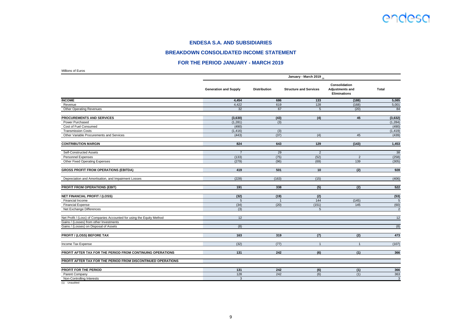#### **BREAKDOWN CONSOLIDATED INCOME STATEMENT**

#### **FOR THE PERIOD JANUARY - MARCH 2019**

Millions of Euros

|                                                                        | January - March 2019         |                     |                               |                                                         |                |  |  |
|------------------------------------------------------------------------|------------------------------|---------------------|-------------------------------|---------------------------------------------------------|----------------|--|--|
|                                                                        | <b>Generation and Supply</b> | <b>Distribution</b> | <b>Structure and Services</b> | Consolidation<br>Adjustments and<br><b>Eliminations</b> | <b>Total</b>   |  |  |
| <b>INCOME</b>                                                          | 4,454                        | 686                 | 133                           | (188)                                                   | 5,085          |  |  |
| Revenue                                                                | 4,422                        | 619                 | 128                           | (168)                                                   | 5,001          |  |  |
| <b>Other Operating Revenues</b>                                        | 32                           | 67                  | 5                             | (20)                                                    | 84             |  |  |
| PROCUREMENTS AND SERVICES                                              | (3,630)                      | (43)                | (4)                           | 45                                                      | (3,632)        |  |  |
| Power Purchased                                                        | (1, 281)                     | (3)                 |                               |                                                         | (1, 284)       |  |  |
| Cost of Fuel Consumed                                                  | (490)                        |                     |                               |                                                         | (490)          |  |  |
| <b>Transmission Costs</b>                                              | (1, 416)                     | (3)                 |                               |                                                         | (1, 419)       |  |  |
| Other Variable Procurements and Services                               | (443)                        | (37)                | (4)                           | 45                                                      | (439)          |  |  |
| <b>CONTRIBUTION MARGIN</b>                                             | 824                          | 643                 | 129                           | (143)                                                   | 1,453          |  |  |
| Self-Constructed Assets                                                | $\overline{7}$               | 29                  | $\overline{2}$                |                                                         | 38             |  |  |
| <b>Personnel Expenses</b>                                              | (133)                        | (75)                | (52)                          | $\overline{2}$                                          | (258)          |  |  |
| Other Fixed Operating Expenses                                         | (279)                        | (96)                | (69)                          | 139                                                     | (305)          |  |  |
| <b>GROSS PROFIT FROM OPERATIONS (EBITDA)</b>                           | 419                          | 501                 | 10                            | (2)                                                     | 928            |  |  |
| Depreciation and Amortisation, and Impairment Losses                   | (228)                        | (163)               | (15)                          |                                                         | (406)          |  |  |
| <b>PROFIT FROM OPERATIONS (EBIT)</b>                                   | 191                          | 338                 | (5)                           | (2)                                                     | 522            |  |  |
| <b>NET FINANCIAL PROFIT / (LOSS)</b>                                   | (32)                         | (19)                | (2)                           |                                                         | (53)           |  |  |
| <b>Financial Income</b>                                                | $\overline{5}$               |                     | 144                           | (145)                                                   | 5              |  |  |
| <b>Financial Expense</b>                                               | (34)                         | (20)                | (151)                         | 145                                                     | (60)           |  |  |
| Net Exchange Differences                                               | (3)                          |                     | 5                             |                                                         | $\overline{2}$ |  |  |
| Net Profit / (Loss) of Companies Accounted for using the Equity Method | 12                           |                     |                               |                                                         | 12             |  |  |
| Gains / (Losses) from other Investments                                |                              |                     |                               |                                                         |                |  |  |
| Gains / (Losses) on Disposal of Assets                                 | (8)                          |                     |                               |                                                         | (8)            |  |  |
| <b>PROFIT / (LOSS) BEFORE TAX</b>                                      | 163                          | 319                 | (7)                           | (2)                                                     | 473            |  |  |
| Income Tax Expense                                                     | (32)                         | (77)                |                               |                                                         | (107)          |  |  |
| PROFIT AFTER TAX FOR THE PERIOD FROM CONTINUING OPERATIONS             | 131                          | 242                 | (6)                           | (1)                                                     | 366            |  |  |
| PROFIT AFTER TAX FOR THE PERIOD FROM DISCONTINUED OPERATIONS           |                              |                     |                               |                                                         |                |  |  |
| <b>PROFIT FOR THE PERIOD</b>                                           | 131                          | 242                 | (6)                           | (1)                                                     | 366            |  |  |
| Parent Company                                                         | 128                          | 242                 | (6)                           | (1)                                                     | 363            |  |  |
| Non-Controlling Interests                                              | $\overline{3}$               |                     |                               |                                                         | $\overline{3}$ |  |  |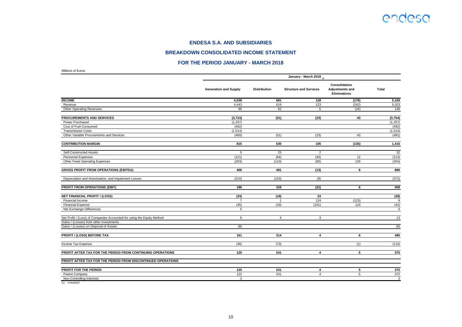#### **BREAKDOWN CONSOLIDATED INCOME STATEMENT**

#### **FOR THE PERIOD JANUARY - MARCH 2018**

**(1) January - March 2018**

**Consolidation** 

|                    | <b>Generation ar</b> |
|--------------------|----------------------|
| Æ                  |                      |
| nue                |                      |
| Operating Revenues |                      |
|                    |                      |

|                                                                                   | <b>Generation and Supply</b> | <b>Distribution</b> | <b>Structure and Services</b> | <b>Adjustments and</b><br><b>Eliminations</b> | <b>Total</b> |
|-----------------------------------------------------------------------------------|------------------------------|---------------------|-------------------------------|-----------------------------------------------|--------------|
| <b>INCOME</b>                                                                     | 4,538                        | 681                 | 128                           | (178)                                         | 5,169        |
| Revenue                                                                           | 4,443                        | 619                 | 123                           | (162)                                         | 5,023        |
| <b>Other Operating Revenues</b>                                                   | 95                           | 62                  | 5                             | (16)                                          | 146          |
| PROCUREMENTS AND SERVICES                                                         | (3,723)                      | (51)                | (23)                          | 43                                            | (3,754)      |
| Power Purchased                                                                   | (1, 257)                     |                     |                               |                                               | (1, 257)     |
| Cost of Fuel Consumed                                                             | (492)                        |                     |                               |                                               | (492)        |
| <b>Transmission Costs</b>                                                         | (1, 514)                     |                     |                               |                                               | (1, 514)     |
| Other Variable Procurements and Services                                          | (460)                        | (51)                | (23)                          | 43                                            | (491)        |
| <b>CONTRIBUTION MARGIN</b>                                                        | 815                          | 630                 | 105                           | (135)                                         | 1,415        |
| Self-Constructed Assets                                                           | 5                            | 25                  | $\overline{2}$                |                                               | 32           |
| Personnel Expenses                                                                | (121)                        | (64)                | (40)                          | 12                                            | (213)        |
| Other Fixed Operating Expenses                                                    | (293)                        | (110)               | (80)                          | 129                                           | (354)        |
| <b>GROSS PROFIT FROM OPERATIONS (EBITDA)</b>                                      | 406                          | 481                 | (13)                          | 6                                             | 880          |
| Depreciation and Amortisation, and Impairment Losses                              | (210)                        | (153)               | (9)                           |                                               | (372)        |
| PROFIT FROM OPERATIONS (EBIT)                                                     | 196                          | 328                 | (22)                          | 6                                             | 508          |
| <b>NET FINANCIAL PROFIT / (LOSS)</b>                                              | (33)                         | (18)                | 23                            |                                               | (28)         |
| <b>Financial Income</b>                                                           | $\overline{7}$               | 1                   | 124                           | (123)                                         | 9            |
| <b>Financial Expense</b>                                                          | (45)                         | (19)                | (101)                         | 123                                           | (42)         |
| Net Exchange Differences                                                          | 5                            |                     |                               |                                               | 5            |
| Net Profit / (Loss) of Companies Accounted for using the Equity Method            | 6                            | $\overline{4}$      | 3                             |                                               | 13           |
| Gains / (Losses) from other Investments<br>Gains / (Losses) on Disposal of Assets | (8)                          |                     |                               |                                               | (8)          |
| PROFIT / (LOSS) BEFORE TAX                                                        | 161                          | 314                 | 4                             | 6                                             | 485          |
| Income Tax Expense                                                                | (36)                         | (73)                |                               | (1)                                           | (110)        |
| PROFIT AFTER TAX FOR THE PERIOD FROM CONTINUING OPERATIONS                        | 125                          | 241                 | 4                             | 5                                             | 375          |
| PROFIT AFTER TAX FOR THE PERIOD FROM DISCONTINUED OPERATIONS                      |                              |                     |                               |                                               |              |
| PROFIT FOR THE PERIOD                                                             | 125                          | 241                 | 4                             | 5                                             | 375          |
| Parent Company                                                                    | 122                          | 241                 | $\overline{4}$                | $\overline{5}$                                | 372          |
| Non-Controlling Interests                                                         | 3                            |                     |                               |                                               | 3            |

(1) Unaudited

Millions of Euros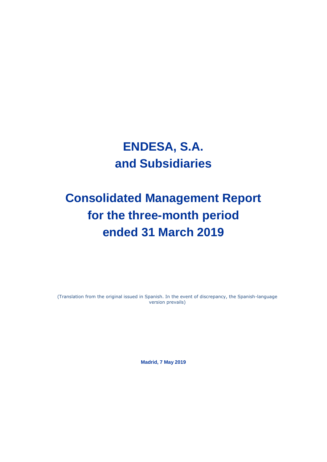## **ENDESA, S.A. and Subsidiaries**

# **Consolidated Management Report for the three-month period ended 31 March 2019**

(Translation from the original issued in Spanish. In the event of discrepancy, the Spanish-language version prevails)

**Madrid, 7 May 2019**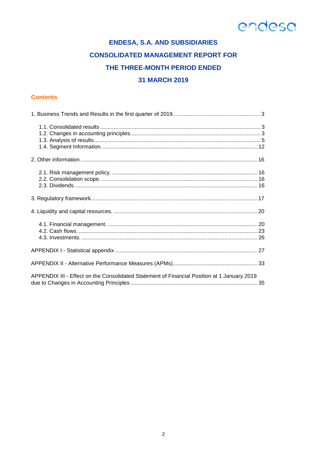### **ENDESA, S.A. AND SUBSIDIARIES CONSOLIDATED MANAGEMENT REPORT FOR** THE THREE-MONTH PERIOD ENDED **31 MARCH 2019**

### **Contents**

| APPENDIX III - Effect on the Consolidated Statement of Financial Position at 1 January 2019 |  |
|---------------------------------------------------------------------------------------------|--|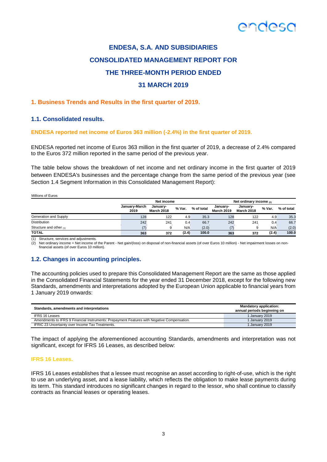### **ENDESA, S.A. AND SUBSIDIARIES CONSOLIDATED MANAGEMENT REPORT FOR THE THREE-MONTH PERIOD ENDED 31 MARCH 2019**

### **1. Business Trends and Results in the first quarter of 2019.**

#### **1.1. Consolidated results.**

#### **ENDESA reported net income of Euros 363 million (-2.4%) in the first quarter of 2019.**

ENDESA reported net income of Euros 363 million in the first quarter of 2019, a decrease of 2.4% compared to the Euros 372 million reported in the same period of the previous year.

The table below shows the breakdown of net income and net ordinary income in the first quarter of 2019 between ENDESA's businesses and the percentage change from the same period of the previous year (see Section 1.4 Segment Information in this Consolidated Management Report):

| Millions of Euros         |                       | Net income                    |        |            |                               | Net ordinary income $_{(2)}$  |        |            |
|---------------------------|-----------------------|-------------------------------|--------|------------|-------------------------------|-------------------------------|--------|------------|
|                           | January-March<br>2019 | January-<br><b>March 2018</b> | % Var. | % of total | Januarv-<br><b>March 2019</b> | January-<br><b>March 2018</b> | % Var. | % of total |
| Generation and Supply     | 128                   | 122                           | 4.9    | 35.3       | 128                           | 122                           | 4.9    | 35.3       |
| <b>Distribution</b>       | 242                   | 241                           | 0.4    | 66.7       | 242                           | 241                           | 0.4    | 66.7       |
| Structure and other $(1)$ |                       |                               | N/A    | (2.0)      | (7)                           | я                             | N/A    | (2.0)      |
| <b>TOTAL</b>              | 363                   | 372                           | (2.4)  | 100.0      | 363                           | 372                           | (2.4)  | 100.0      |
|                           |                       |                               |        |            |                               |                               |        |            |

(1) Structure, services and adjustments.

(2) Net ordinary income = Net income of the Parent - Net gain/(loss) on disposal of non-financial assets (of over Euros 10 million) - Net impairment losses on nonfinancial assets (of over Euros 10 million).

### **1.2. Changes in accounting principles.**

The accounting policies used to prepare this Consolidated Management Report are the same as those applied in the Consolidated Financial Statements for the year ended 31 December 2018, except for the following new Standards, amendments and interpretations adopted by the European Union applicable to financial years from 1 January 2019 onwards:

| Standards, amendments and interpretations                                                   | <b>Mandatory application:</b><br>annual periods beginning on |
|---------------------------------------------------------------------------------------------|--------------------------------------------------------------|
| <b>IFRS 16 Leases</b>                                                                       | I Januarv 2019                                               |
| Amendments to IFRS 9 Financial Instruments: Prepayment Features with Negative Compensation. | January 2019                                                 |
| IFRIC 23 Uncertainty over Income Tax Treatments.                                            | I January 2019                                               |

The impact of applying the aforementioned accounting Standards, amendments and interpretation was not significant, except for IFRS 16 Leases, as described below:

#### **IFRS 16 Leases.**

IFRS 16 Leases establishes that a lessee must recognise an asset according to right-of-use, which is the right to use an underlying asset, and a lease liability, which reflects the obligation to make lease payments during its term. This standard introduces no significant changes in regard to the lessor, who shall continue to classify contracts as financial leases or operating leases.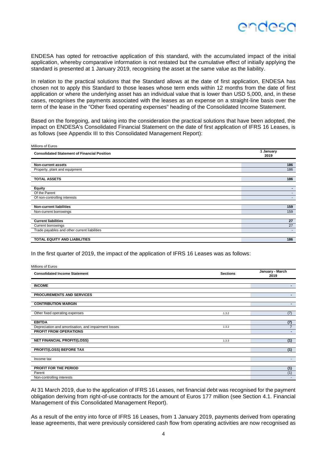

ENDESA has opted for retroactive application of this standard, with the accumulated impact of the initial application, whereby comparative information is not restated but the cumulative effect of initially applying the standard is presented at 1 January 2019, recognising the asset at the same value as the liability.

In relation to the practical solutions that the Standard allows at the date of first application, ENDESA has chosen not to apply this Standard to those leases whose term ends within 12 months from the date of first application or where the underlying asset has an individual value that is lower than USD 5,000, and, in these cases, recognises the payments associated with the leases as an expense on a straight-line basis over the term of the lease in the "Other fixed operating expenses" heading of the Consolidated Income Statement.

Based on the foregoing, and taking into the consideration the practical solutions that have been adopted, the impact on ENDESA's Consolidated Financial Statement on the date of first application of IFRS 16 Leases, is as follows (see Appendix III to this Consolidated Management Report):

| Millions of Euros                                   |                   |
|-----------------------------------------------------|-------------------|
| <b>Consolidated Statement of Financial Position</b> | 1 January<br>2019 |
|                                                     |                   |
| Non-current assets                                  | 186               |
| Property, plant and equipment                       | 186               |
| <b>TOTAL ASSETS</b>                                 | 186               |
| <b>Equity</b>                                       | -                 |
| Of the Parent                                       |                   |
| Of non-controlling interests                        |                   |
| <b>Non-current liabilities</b>                      | 159               |
| Non-current borrowings                              | 159               |
| <b>Current liabilities</b>                          | 27                |
| Current borrowings                                  | 27                |
| Trade payables and other current liabilities        |                   |
| TOTAL EQUITY AND LIABILITIES                        | 186               |

In the first quarter of 2019, the impact of the application of IFRS 16 Leases was as follows:

| Millions of Euros                                    |                 |                         |
|------------------------------------------------------|-----------------|-------------------------|
| <b>Consolidated Income Statement</b>                 | <b>Sections</b> | January - March<br>2019 |
| <b>INCOME</b>                                        |                 | $\blacksquare$          |
| <b>PROCUREMENTS AND SERVICES</b>                     |                 | $\blacksquare$          |
| <b>CONTRIBUTION MARGIN</b>                           |                 | $\blacksquare$          |
| Other fixed operating expenses                       | 1.3.2           | (7)                     |
| <b>EBITDA</b>                                        |                 | (7)                     |
| Depreciation and amortisation, and impairment losses | 1.3.2           | $\overline{7}$          |
| <b>PROFIT FROM OPERATIONS</b>                        |                 | $\sim$                  |
| <b>NET FINANCIAL PROFIT/(LOSS)</b>                   | 1.3.3           | (1)                     |
| PROFIT/(LOSS) BEFORE TAX                             |                 | (1)                     |
| Income tax                                           |                 | $\sim$                  |
| PROFIT FOR THE PERIOD                                |                 | (1)                     |
| Parent                                               |                 | (1)                     |
| Non-controlling interests                            |                 |                         |

At 31 March 2019, due to the application of IFRS 16 Leases, net financial debt was recognised for the payment obligation deriving from right-of-use contracts for the amount of Euros 177 million (see Section 4.1. Financial Management of this Consolidated Management Report).

As a result of the entry into force of IFRS 16 Leases, from 1 January 2019, payments derived from operating lease agreements, that were previously considered cash flow from operating activities are now recognised as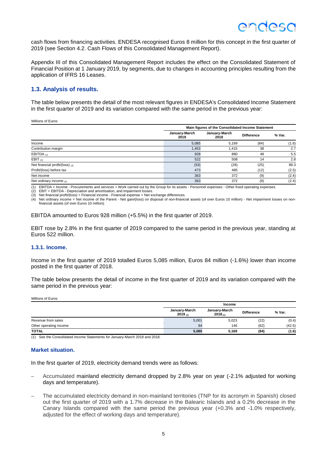cash flows from financing activities. ENDESA recognised Euros 8 million for this concept in the first quarter of 2019 (see Section 4.2. Cash Flows of this Consolidated Management Report).

Appendix III of this Consolidated Management Report includes the effect on the Consolidated Statement of Financial Position at 1 January 2019, by segments, due to changes in accounting principles resulting from the application of IFRS 16 Leases.

#### **1.3. Analysis of results.**

The table below presents the detail of the most relevant figures in ENDESA's Consolidated Income Statement in the first quarter of 2019 and its variation compared with the same period in the previous year:

Millions of Euros

|                                      | Main figures of the Consolidated Income Statement |                       |                   |        |  |
|--------------------------------------|---------------------------------------------------|-----------------------|-------------------|--------|--|
|                                      | January-March<br>2019                             | January-March<br>2018 | <b>Difference</b> | % Var. |  |
| Income                               | 5,085                                             | 5,169                 | (84)              | (1.6)  |  |
| Contribution margin                  | 1,453                                             | 1,415                 | 38                | 2.7    |  |
| EBITDA $(1)$                         | 928                                               | 880                   | 48                | 5.5    |  |
| EBIT $(2)$                           | 522                                               | 508                   | 14                | 2.8    |  |
| Net financial profit/(loss) $_{(3)}$ | (53)                                              | (28)                  | (25)              | 89.3   |  |
| Profit/(loss) before tax             | 473                                               | 485                   | (12)              | (2.5)  |  |
| Net income                           | 363                                               | 372                   | (9)               | (2.4)  |  |
| Net ordinary income $(4)$            | 363                                               | 372                   | (9)               | (2.4)  |  |

(1) EBITDA = Income - Procurements and services + Work carried out by the Group for its assets - Personnel expenses - Other fixed operating expenses.

(2) EBIT = EBITDA - Depreciation and amortisation, and impairment losses.

Net financial profit/(loss) = Financial income - Financial expense + Net exchange differences.

(4) Net ordinary income = Net income of the Parent - Net gain/(loss) on disposal of non-financial assets (of over Euros 10 million) - Net impairment losses on nonfinancial assets (of over Euros 10 million).

EBITDA amounted to Euros 928 million (+5.5%) in the first quarter of 2019.

EBIT rose by 2.8% in the first quarter of 2019 compared to the same period in the previous year, standing at Euros 522 million.

#### **1.3.1. Income.**

Income in the first quarter of 2019 totalled Euros 5,085 million, Euros 84 million (-1.6%) lower than income posted in the first quarter of 2018.

The table below presents the detail of income in the first quarter of 2019 and its variation compared with the same period in the previous year:

Millions of Euros

|                        | Income                   |                               |                   |        |  |
|------------------------|--------------------------|-------------------------------|-------------------|--------|--|
|                        | January-March<br>2019(1) | January-March<br>$2018_{(1)}$ | <b>Difference</b> | % Var. |  |
| Revenue from sales     | 5,001                    | 5.023                         | (22)              | (0.4)  |  |
| Other operating income | 84                       | 146                           | (62)              | (42.5) |  |
| <b>TOTAL</b>           | 5,085                    | 5,169                         | (84)              | (1.6)  |  |

(1) See the Consolidated Income Statements for January-March 2019 and 2018.

#### **Market situation.**

In the first quarter of 2019, electricity demand trends were as follows:

- Accumulated mainland electricity demand dropped by 2.8% year on year (-2.1% adjusted for working days and temperature).
- The accumulated electricity demand in non-mainland territories (TNP for its acronym in Spanish) closed out the first quarter of 2019 with a 1.7% decrease in the Balearic Islands and a 0.2% decrease in the Canary Islands compared with the same period the previous year (+0.3% and -1.0% respectively, adjusted for the effect of working days and temperature).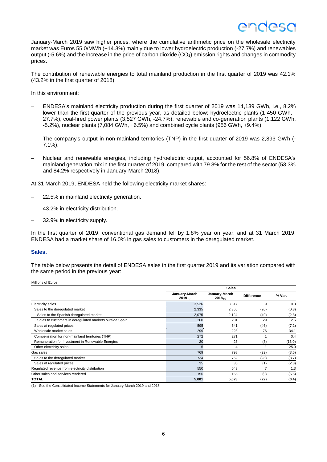### INASC

January-March 2019 saw higher prices, where the cumulative arithmetic price on the wholesale electricity market was Euros 55.0/MWh (+14.3%) mainly due to lower hydroelectric production (-27.7%) and renewables output (-5.6%) and the increase in the price of carbon dioxide (CO2) emission rights and changes in commodity prices.

The contribution of renewable energies to total mainland production in the first quarter of 2019 was 42.1% (43.2% in the first quarter of 2018).

In this environment:

- ENDESA's mainland electricity production during the first quarter of 2019 was 14,139 GWh, i.e., 8.2% lower than the first quarter of the previous year, as detailed below: hydroelectric plants (1,450 GWh, -27.7%), coal-fired power plants (3,527 GWh, -24.7%), renewable and co-generation plants (1,122 GWh, -5.2%), nuclear plants (7,084 GWh, +6.5%) and combined cycle plants (956 GWh, +9.4%).
- The company's output in non-mainland territories (TNP) in the first quarter of 2019 was 2,893 GWh (- 7.1%).
- Nuclear and renewable energies, including hydroelectric output, accounted for 56.8% of ENDESA's mainland generation mix in the first quarter of 2019, compared with 79.8% for the rest of the sector (53.3% and 84.2% respectively in January-March 2018).

At 31 March 2019, ENDESA held the following electricity market shares:

- 22.5% in mainland electricity generation.
- 43.2% in electricity distribution.
- 32.9% in electricity supply.

In the first quarter of 2019, conventional gas demand fell by 1.8% year on year, and at 31 March 2019, ENDESA had a market share of 16.0% in gas sales to customers in the deregulated market.

#### **Sales.**

The table below presents the detail of ENDESA sales in the first quarter 2019 and its variation compared with the same period in the previous year:

| Millions of Euros                                       |                               |                               |                   |        |  |  |
|---------------------------------------------------------|-------------------------------|-------------------------------|-------------------|--------|--|--|
|                                                         |                               | <b>Sales</b>                  |                   |        |  |  |
|                                                         | January-March<br>$2019_{(1)}$ | January-March<br>$2018_{(1)}$ | <b>Difference</b> | % Var. |  |  |
| <b>Electricity sales</b>                                | 3,526                         | 3,517                         | 9                 | 0.3    |  |  |
| Sales to the deregulated market                         | 2,335                         | 2,355                         | (20)              | (0.8)  |  |  |
| Sales to the Spanish deregulated market                 | 2,075                         | 2,124                         | (49)              | (2.3)  |  |  |
| Sales to customers in deregulated markets outside Spain | 260                           | 231                           | 29                | 12.6   |  |  |
| Sales at regulated prices                               | 595                           | 641                           | (46)              | (7.2)  |  |  |
| Wholesale market sales                                  | 299                           | 223                           | 76                | 34.1   |  |  |
| Compensation for non-mainland territories (TNP)         | 272                           | 271                           |                   | 0.4    |  |  |
| Remuneration for investment in Renewable Energies       | 20                            | 23                            | (3)               | (13.0) |  |  |
| Other electricity sales                                 | 5                             | 4                             |                   | 25.0   |  |  |
| Gas sales                                               | 769                           | 798                           | (29)              | (3.6)  |  |  |
| Sales to the deregulated market                         | 734                           | 762                           | (28)              | (3.7)  |  |  |
| Sales at regulated prices                               | 35                            | 36                            | (1)               | (2.8)  |  |  |
| Regulated revenue from electricity distribution         | 550                           | 543                           |                   | 1.3    |  |  |
| Other sales and services rendered                       | 156                           | 165                           | (9)               | (5.5)  |  |  |
| <b>TOTAL</b>                                            | 5,001                         | 5,023                         | (22)              | (0.4)  |  |  |

(1) See the Consolidated Income Statements for January-March 2019 and 2018.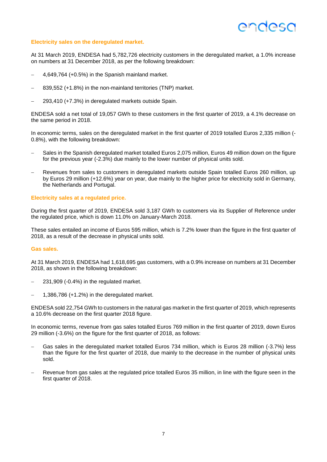### endesc

#### **Electricity sales on the deregulated market.**

At 31 March 2019, ENDESA had 5,782,726 electricity customers in the deregulated market, a 1.0% increase on numbers at 31 December 2018, as per the following breakdown:

- 4,649,764 (+0.5%) in the Spanish mainland market.
- 839,552 (+1.8%) in the non-mainland territories (TNP) market.
- 293,410 (+7.3%) in deregulated markets outside Spain.

ENDESA sold a net total of 19,057 GWh to these customers in the first quarter of 2019, a 4.1% decrease on the same period in 2018.

In economic terms, sales on the deregulated market in the first quarter of 2019 totalled Euros 2,335 million (-0.8%), with the following breakdown:

- Sales in the Spanish deregulated market totalled Euros 2,075 million, Euros 49 million down on the figure for the previous year (-2.3%) due mainly to the lower number of physical units sold.
- Revenues from sales to customers in deregulated markets outside Spain totalled Euros 260 million, up by Euros 29 million (+12.6%) year on year, due mainly to the higher price for electricity sold in Germany, the Netherlands and Portugal.

#### **Electricity sales at a regulated price.**

During the first quarter of 2019, ENDESA sold 3,187 GWh to customers via its Supplier of Reference under the regulated price, which is down 11.0% on January-March 2018.

These sales entailed an income of Euros 595 million, which is 7.2% lower than the figure in the first quarter of 2018, as a result of the decrease in physical units sold.

#### **Gas sales.**

At 31 March 2019, ENDESA had 1,618,695 gas customers, with a 0.9% increase on numbers at 31 December 2018, as shown in the following breakdown:

- 231,909 (-0.4%) in the regulated market.
- 1,386,786 (+1.2%) in the deregulated market.

ENDESA sold 22,754 GWh to customers in the natural gas market in the first quarter of 2019, which represents a 10.6% decrease on the first quarter 2018 figure.

In economic terms, revenue from gas sales totalled Euros 769 million in the first quarter of 2019, down Euros 29 million (-3.6%) on the figure for the first quarter of 2018, as follows:

- Gas sales in the deregulated market totalled Euros 734 million, which is Euros 28 million (-3.7%) less than the figure for the first quarter of 2018, due mainly to the decrease in the number of physical units sold.
- Revenue from gas sales at the regulated price totalled Euros 35 million, in line with the figure seen in the first quarter of 2018.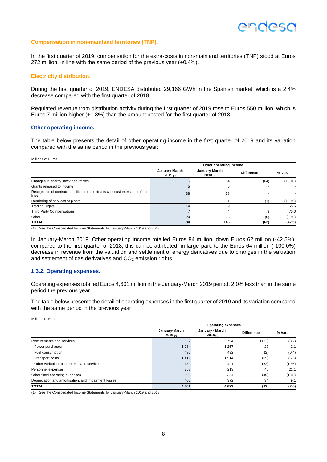#### **Compensation in non-mainland territories (TNP).**

In the first quarter of 2019, compensation for the extra-costs in non-mainland territories (TNP) stood at Euros 272 million, in line with the same period of the previous year (+0.4%).

#### **Electricity distribution.**

During the first quarter of 2019, ENDESA distributed 29,166 GWh in the Spanish market, which is a 2.4% decrease compared with the first quarter of 2018.

Regulated revenue from distribution activity during the first quarter of 2019 rose to Euros 550 million, which is Euros 7 million higher (+1.3%) than the amount posted for the first quarter of 2018.

#### **Other operating income.**

The table below presents the detail of other operating income in the first quarter of 2019 and its variation compared with the same period in the previous year:

#### Millions of Euros

|                                                                                        | Other operating income   |                               |                   |         |  |  |
|----------------------------------------------------------------------------------------|--------------------------|-------------------------------|-------------------|---------|--|--|
|                                                                                        | January-March<br>2019(1) | January-March<br>$2018_{(1)}$ | <b>Difference</b> | % Var.  |  |  |
| Changes in energy stock derivatives                                                    |                          | 64                            | (64)              | (100.0) |  |  |
| Grants released to income                                                              |                          |                               |                   |         |  |  |
| Recognition of contract liabilities from contracts with customers in profit or<br>loss | 38                       | 38                            |                   |         |  |  |
| Rendering of services at plants                                                        |                          |                               | (1)               | (100.0) |  |  |
| <b>Trading Rights</b>                                                                  | 14                       |                               |                   | 55.6    |  |  |
| Third Party Compensations                                                              |                          |                               |                   | 75.0    |  |  |
| Other                                                                                  | 20                       | 25                            | (5)               | (20.0)  |  |  |
| <b>TOTAL</b>                                                                           | 84                       | 146                           | (62)              | (42.5)  |  |  |

(1) See the Consolidated Income Statements for January-March 2019 and 2018.

In January-March 2019, Other operating income totalled Euros 84 million, down Euros 62 million (-42.5%), compared to the first quarter of 2018; this can be attributed, in large part, to the Euros 64 million (-100.0%) decrease in revenue from the valuation and settlement of energy derivatives due to changes in the valuation and settlement of gas derivatives and  $CO<sub>2</sub>$  emission rights.

#### **1.3.2. Operating expenses.**

Operating expenses totalled Euros 4,601 million in the January-March 2019 period, 2.0% less than in the same period the previous year.

The table below presents the detail of operating expenses in the first quarter of 2019 and its variation compared with the same period in the previous year:

Millions of Euros

|                                                      |                          | <b>Operating expenses</b>  |                   |        |  |  |
|------------------------------------------------------|--------------------------|----------------------------|-------------------|--------|--|--|
|                                                      | January-March<br>2019(n) | January - March<br>2018(1) | <b>Difference</b> | % Var. |  |  |
| Procurements and services                            | 3,632                    | 3,754                      | (122)             | (3.2)  |  |  |
| Power purchases                                      | 1,284                    | 1,257                      | 27                | 2.1    |  |  |
| Fuel consumption                                     | 490                      | 492                        | (2)               | (0.4)  |  |  |
| <b>Transport costs</b>                               | 1,419                    | 1.514                      | (95)              | (6.3)  |  |  |
| Other variable procurements and services             | 439                      | 491                        | (52)              | (10.6) |  |  |
| Personnel expenses                                   | 258                      | 213                        | 45                | 21.1   |  |  |
| Other fixed operating expenses                       | 305                      | 354                        | (49)              | (13.8) |  |  |
| Depreciation and amortisation, and impairment losses | 406                      | 372                        | 34                | 9.1    |  |  |
| <b>TOTAL</b>                                         | 4,601                    | 4,693                      | (92)              | (2.0)  |  |  |

(1) See the Consolidated Income Statements for January-March 2019 and 2018.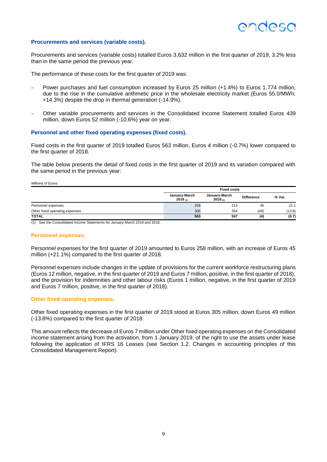#### **Procurements and services (variable costs).**

Procurements and services (variable costs) totalled Euros 3,632 million in the first quarter of 2019, 3.2% less than in the same period the previous year.

The performance of these costs for the first quarter of 2019 was:

- Power purchases and fuel consumption increased by Euros 25 million (+1.4%) to Euros 1,774 million, due to the rise in the cumulative arithmetic price in the wholesale electricity market (Euros 55.0/MWh; +14.3%) despite the drop in thermal generation (-14.9%).
- Other variable procurements and services in the Consolidated Income Statement totalled Euros 439 million, down Euros 52 million (-10.6%) year on year.

#### **Personnel and other fixed operating expenses (fixed costs).**

Fixed costs in the first quarter of 2019 totalled Euros 563 million, Euros 4 million (-0.7%) lower compared to the first quarter of 2018.

The table below presents the detail of fixed costs in the first quarter of 2019 and its variation compared with the same period in the previous year:

Millions of Euros

|                                | <b>Fixed costs</b>       |                               |                   |        |  |  |
|--------------------------------|--------------------------|-------------------------------|-------------------|--------|--|--|
|                                | January-March<br>2019(n) | January-March<br>$2018_{(1)}$ | <b>Difference</b> | % Var. |  |  |
| Personnel expenses             | 258                      | 213                           | 45                | 21.1   |  |  |
| Other fixed operating expenses | 305                      | 354                           | (49)              | (13.8) |  |  |
| <b>TOTAL</b>                   | 563                      | 567                           | (4)               | (0.7)  |  |  |

(1) See the Consolidated Income Statements for January-March 2019 and 2018.

#### **Personnel expenses.**

Personnel expenses for the first quarter of 2019 amounted to Euros 258 million, with an increase of Euros 45 million (+21.1%) compared to the first quarter of 2018.

Personnel expenses include changes in the update of provisions for the current workforce restructuring plans (Euros 12 million, negative, in the first quarter of 2019 and Euros 7 million, positive, in the first quarter of 2018), and the provision for indemnities and other labour risks (Euros 1 million, negative, in the first quarter of 2019 and Euros 7 million, positive, in the first quarter of 2018).

#### **Other fixed operating expenses.**

Other fixed operating expenses in the first quarter of 2019 stood at Euros 305 million, down Euros 49 million (-13.8%) compared to the first quarter of 2018.

This amount reflects the decrease of Euros 7 million under Other fixed operating expenses on the Consolidated income statement arising from the activation, from 1 January 2019, of the right to use the assets under lease following the application of IFRS 16 Leases (see Section 1.2. Changes in accounting principles of this Consolidated Management Report).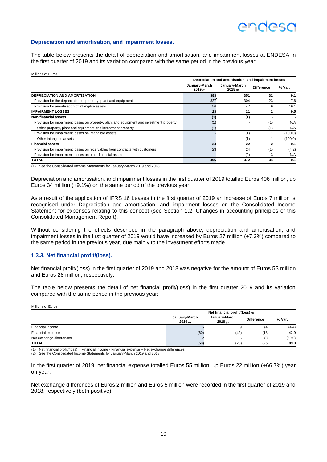### **ANNASC**

#### **Depreciation and amortisation, and impairment losses.**

The table below presents the detail of depreciation and amortisation, and impairment losses at ENDESA in the first quarter of 2019 and its variation compared with the same period in the previous year:

Millions of Euros

|                                                                                          | Depreciation and amortisation, and impairment losses |                          |                   |         |  |
|------------------------------------------------------------------------------------------|------------------------------------------------------|--------------------------|-------------------|---------|--|
|                                                                                          | January-March<br>2019(1)                             | January-March<br>2018(1) | <b>Difference</b> | % Var.  |  |
| <b>DEPRECIATION AND AMORTISATION</b>                                                     | 383                                                  | 351                      | 32                | 9.1     |  |
| Provision for the depreciation of property, plant and equipment                          | 327                                                  | 304                      | 23                | 7.6     |  |
| Provision for amortisation of intangible assets                                          | 56                                                   | 47                       | 9                 | 19.1    |  |
| <b>IMPAIRMENT LOSSES</b>                                                                 | 23                                                   | 21                       | $\mathbf{2}$      | 9.5     |  |
| Non-financial assets                                                                     | (1)                                                  | (1)                      |                   |         |  |
| Provision for impairment losses on property, plant and equipment and investment property | (1)                                                  |                          | (1)               | N/A     |  |
| Other property, plant and equipment and investment property                              | (1)                                                  |                          | (1)               | N/A     |  |
| Provision for impairment losses on intangible assets                                     |                                                      | (1)                      |                   | (100.0) |  |
| Other intangible assets                                                                  |                                                      | (1)                      |                   | (100.0) |  |
| <b>Financial assets</b>                                                                  | 24                                                   | 22                       | 2                 | 9.1     |  |
| Provision for impairment losses on receivables from contracts with customers             | 23                                                   | 24                       | (1)               | (4.2)   |  |
| Provision for impairment losses on other financial assets                                |                                                      | (2)                      | 3                 | N/A     |  |
| TOTAL                                                                                    | 406                                                  | 372                      | 34                | 9.1     |  |

(1) See the Consolidated Income Statements for January-March 2019 and 2018.

Depreciation and amortisation, and impairment losses in the first quarter of 2019 totalled Euros 406 million, up Euros 34 million (+9.1%) on the same period of the previous year.

As a result of the application of IFRS 16 Leases in the first quarter of 2019 an increase of Euros 7 million is recognised under Depreciation and amortisation, and impairment losses on the Consolidated Income Statement for expenses relating to this concept (see Section 1.2. Changes in accounting principles of this Consolidated Management Report).

Without considering the effects described in the paragraph above, depreciation and amortisation, and impairment losses in the first quarter of 2019 would have increased by Euros 27 million (+7.3%) compared to the same period in the previous year, due mainly to the investment efforts made.

#### **1.3.3. Net financial profit/(loss).**

Net financial profit/(loss) in the first quarter of 2019 and 2018 was negative for the amount of Euros 53 million and Euros 28 million, respectively.

The table below presents the detail of net financial profit/(loss) in the first quarter 2019 and its variation compared with the same period in the previous year:

Millions of Euros **Net financial profit/(loss) (1) January-March 2019 (2) January-March 2018 (2) Difference % Var.**  $\blacksquare$  Financial income  $(4)$   $(44.4)$ Financial expense (60) (42) (18) 42.9 Net exchange differences and the control of the control of the control of the control of the control of the control of the control of the control of the control of the control of the control of the control of the control o **TOTAL (53) (28) (25) 89.3**

(1) Net financial profit/(loss) = Financial income - Financial expense + Net exchange differences.

(2) See the Consolidated Income Statements for January-March 2019 and 2018.

In the first quarter of 2019, net financial expense totalled Euros 55 million, up Euros 22 million (+66.7%) year on year.

Net exchange differences of Euros 2 million and Euros 5 million were recorded in the first quarter of 2019 and 2018, respectively (both positive).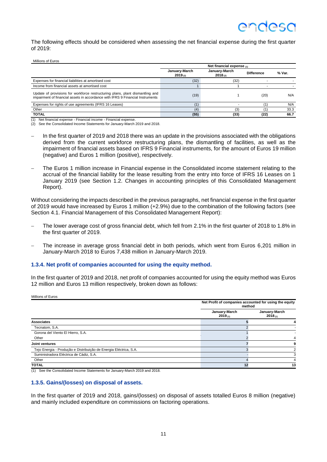The following effects should be considered when assessing the net financial expense during the first quarter of 2019:

#### Millions of Euros

|                                                                                                                                                                 | Net financial expense $(1)$   |                               |                   |        |  |
|-----------------------------------------------------------------------------------------------------------------------------------------------------------------|-------------------------------|-------------------------------|-------------------|--------|--|
|                                                                                                                                                                 | January-March<br>$2019_{(2)}$ | January-March<br>$2018_{(2)}$ | <b>Difference</b> | % Var. |  |
| Expenses for financial liabilities at amortised cost                                                                                                            | (32)                          | (32)                          |                   |        |  |
| Income from financial assets at amortised cost                                                                                                                  |                               |                               |                   |        |  |
| Update of provisions for workforce restructuring plans, plant dismantling and<br>impairment of financial assets in accordance with IFRS 9 Financial Instruments | (19)                          |                               | (20)              | N/A    |  |
| Expenses for rights of use agreements (IFRS 16 Leases)                                                                                                          | (1)                           |                               |                   | N/A    |  |
| Other                                                                                                                                                           | (4)                           | (3)                           |                   | 33.3   |  |
| <b>TOTAL</b>                                                                                                                                                    | (55)                          | (33)                          | (22)              | 66.7   |  |

(1) Net financial expense - Financial income - Financial expense. (2) See the Consolidated Income Statements for January-March 2019 and 2018.

- In the first quarter of 2019 and 2018 there was an update in the provisions associated with the obligations derived from the current workforce restructuring plans, the dismantling of facilities, as well as the impairment of financial assets based on IFRS 9 Financial instruments, for the amount of Euros 19 million (negative) and Euros 1 million (positive), respectively.
- The Euros 1 million increase in Financial expense in the Consolidated income statement relating to the accrual of the financial liability for the lease resulting from the entry into force of IFRS 16 Leases on 1 January 2019 (see Section 1.2. Changes in accounting principles of this Consolidated Management Report).

Without considering the impacts described in the previous paragraphs, net financial expense in the first quarter of 2019 would have increased by Euros 1 million (+2.9%) due to the combination of the following factors (see Section 4.1. Financial Management of this Consolidated Management Report):

- The lower average cost of gross financial debt, which fell from 2.1% in the first quarter of 2018 to 1.8% in the first quarter of 2019.
- The increase in average gross financial debt in both periods, which went from Euros 6,201 million in January-March 2018 to Euros 7,438 million in January-March 2019.

#### **1.3.4. Net profit of companies accounted for using the equity method.**

In the first quarter of 2019 and 2018, net profit of companies accounted for using the equity method was Euros 12 million and Euros 13 million respectively, broken down as follows:

Millions of Euros

|                                                                   | Net Profit of companies accounted for using the equity<br>method |                          |
|-------------------------------------------------------------------|------------------------------------------------------------------|--------------------------|
|                                                                   | January-March<br>2019(1)                                         | January-March<br>2018(1) |
| <b>Associates</b>                                                 |                                                                  |                          |
| Tecnatom, S.A.                                                    |                                                                  |                          |
| Gorona del Viento El Hierro, S.A.                                 |                                                                  |                          |
| Other                                                             |                                                                  |                          |
| Joint ventures                                                    |                                                                  |                          |
| Tejo Energia - Produção e Distribuição de Energia Eléctrica, S.A. |                                                                  |                          |
| Suministradora Eléctrica de Cádiz, S.A.                           |                                                                  |                          |
| Other                                                             |                                                                  |                          |
| <b>TOTAL</b>                                                      | 12                                                               | 13                       |

(1) See the Consolidated Income Statements for January-March 2019 and 2018.

#### **1.3.5. Gains/(losses) on disposal of assets.**

In the first quarter of 2019 and 2018, gains/(losses) on disposal of assets totalled Euros 8 million (negative) and mainly included expenditure on commissions on factoring operations.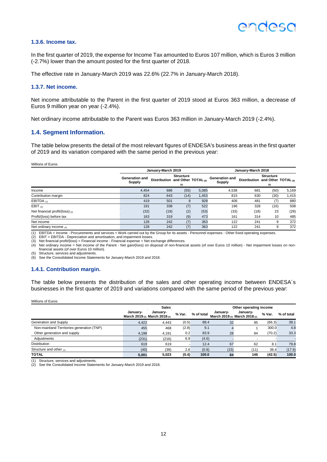#### **1.3.6. Income tax.**

In the first quarter of 2019, the expense for Income Tax amounted to Euros 107 million, which is Euros 3 million (-2.7%) lower than the amount posted for the first quarter of 2018.

The effective rate in January-March 2019 was 22.6% (22.7% in January-March 2018).

#### **1.3.7. Net income.**

Net income attributable to the Parent in the first quarter of 2019 stood at Euros 363 million, a decrease of Euros 9 million year on year (-2.4%).

Net ordinary income attributable to the Parent was Euros 363 million in January-March 2019 (-2.4%).

#### **1.4. Segment Information.**

The table below presents the detail of the most relevant figures of ENDESA's business areas in the first quarter of 2019 and its variation compared with the same period in the previous year:

Millions of Euros

|                                   |                                 | January-March 2019                          |                         |       |                                        | January-March 2018                          |                         |       |  |
|-----------------------------------|---------------------------------|---------------------------------------------|-------------------------|-------|----------------------------------------|---------------------------------------------|-------------------------|-------|--|
|                                   | <b>Generation and</b><br>Supply | Distribution and Other TOTAL <sub>(6)</sub> | <b>Structure</b><br>(5) |       | <b>Generation and</b><br><b>Supply</b> | Distribution and Other TOTAL <sub>(6)</sub> | <b>Structure</b><br>(5) |       |  |
| Income                            | 4.454                           | 686                                         | (55)                    | 5,085 | 4.538                                  | 681                                         | (50)                    | 5,169 |  |
| Contribution margin               | 824                             | 643                                         | (14)                    | 1,453 | 815                                    | 630                                         | (30)                    | 1,415 |  |
| EBITDA $(1)$                      | 419                             | 501                                         | 8                       | 928   | 406                                    | 481                                         | (7)                     | 880   |  |
| EBIT $(2)$                        | 191                             | 338                                         | (7)                     | 522   | 196                                    | 328                                         | (16)                    | 508   |  |
| Net financial profit/(loss) $(3)$ | (32)                            | (19)                                        | (2)                     | (53)  | (33)                                   | (18)                                        | 23                      | (28)  |  |
| Profit/(loss) before tax          | 163                             | 319                                         | (9)                     | 473   | 161                                    | 314                                         | 10                      | 485   |  |
| Net income                        | 128                             | 242                                         | (7)                     | 363   | 122                                    | 241                                         |                         | 372   |  |
| Net ordinary income $_{(4)}$      | 128                             | 242                                         | (7)                     | 363   | 122                                    | 241                                         |                         | 372   |  |

(1) EBITDA = Income - Procurements and services + Work carried out by the Group for its assets - Personnel expenses - Other fixed operating expenses.

(2) EBIT = EBITDA - Depreciation and amortisation, and impairment losses.

(3) Net financial profit/(loss) = Financial income - Financial expense + Net exchange differences.<br>(4) Net ordinary income = Net income of the Parent - Net gain/(loss) on disposal of non-financial assets (of over Euros 10 financial assets (of over Euros 10 million).

(5) Structure, services and adjustments.

(6) See the Consolidated Income Statements for January-March 2019 and 2018.

#### **1.4.1. Contribution margin.**

The table below presents the distribution of the sales and other operating income between ENDESA´s businesses in the first quarter of 2019 and variations compared with the same period of the previous year:

Millions of Euros

|                                           | <b>Sales</b>                              |          |        |            | Other operating income |                                           |        |            |
|-------------------------------------------|-------------------------------------------|----------|--------|------------|------------------------|-------------------------------------------|--------|------------|
|                                           | January-<br>March 2019 (2) March 2018 (2) | January- | % Var. | % of total | Januarv-               | Januarv-<br>March 2019 (2) March 2018 (2) | % Var. | % of total |
| Generation and Supply                     | 4.422                                     | 4.443    | (0.5)  | 88.4       | 32                     | 95                                        | (66.3) | 38.1       |
| Non-mainland Territories generation (TNP) | 455                                       | 468      | (2.8)  | 9.1        |                        |                                           | 300.0  | 4.8        |
| Other generation and supply               | 4.198                                     | 4,191    | 0.2    | 83.9       | 28                     | 94                                        | (70.2) | 33.3       |
| Adjustments                               | (231)                                     | (216)    | 6.9    | (4.6)      |                        |                                           |        |            |
| <b>Distribution</b>                       | 619                                       | 619      |        | 12.4       | 67                     | 62                                        | 8.1    | 79.8       |
| Structure and other $(1)$                 | (40)                                      | (39)     | 2.6    | (0.8)      | (15)                   | (11)                                      | 36.4   | (17.9)     |
| <b>TOTAL</b>                              | 5.001                                     | 5.023    | (0.4)  | 100.0      | 84                     | 146                                       | (42.5) | 100.0      |

(1) Structure, services and adjustments.

(2) See the Consolidated Income Statements for January-March 2019 and 2018.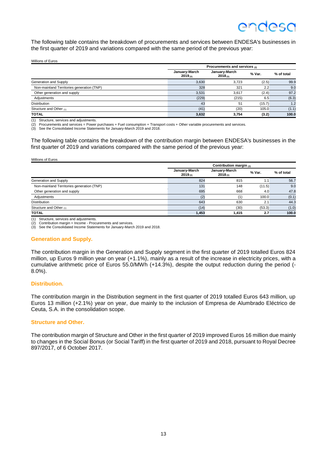The following table contains the breakdown of procurements and services between ENDESA's businesses in the first quarter of 2019 and variations compared with the same period of the previous year:

| Millions of Euros |  |  |  |
|-------------------|--|--|--|
|                   |  |  |  |

|                                           |                               | Procurements and services (2) |        |            |  |  |  |  |
|-------------------------------------------|-------------------------------|-------------------------------|--------|------------|--|--|--|--|
|                                           | January-March<br>$2019_{(3)}$ | January-March<br>$2018_{(3)}$ | % Var. | % of total |  |  |  |  |
| Generation and Supply                     | 3.630                         | 3.723                         | (2.5)  | 99.9       |  |  |  |  |
| Non-mainland Territories generation (TNP) | 328                           | 321                           | 2.2    | 9.0        |  |  |  |  |
| Other generation and supply               | 3,531                         | 3.617                         | (2.4)  | 97.2       |  |  |  |  |
| Adjustments                               | (229)                         | (215)                         | 6.5    | (6.3)      |  |  |  |  |
| <b>Distribution</b>                       | 43                            | 51                            | (15.7) | 1.2        |  |  |  |  |
| Structure and Other (1)                   | (41)                          | (20)                          | 105.0  | (1.1)      |  |  |  |  |
| <b>TOTAL</b>                              | 3,632                         | 3,754                         | (3.2)  | 100.0      |  |  |  |  |

(1) Structure, services and adjustments.

 $(2)$  Procurements and services = Power purchases + Fuel consumption + Transport costs + Other variable procurements and services.<br>(3) See the Consolidated Income Statements for January-March 2019 and 2018.

See the Consolidated Income Statements for January-March 2019 and 2018.

The following table contains the breakdown of the contribution margin between ENDESA's businesses in the first quarter of 2019 and variations compared with the same period of the previous year:

#### Millions of Euros

|                                           | Contribution margin $(2)$                                      |       |        |            |  |  |  |
|-------------------------------------------|----------------------------------------------------------------|-------|--------|------------|--|--|--|
|                                           | January-March<br>January-March<br>$2019_{(3)}$<br>$2018_{(3)}$ |       | % Var. | % of total |  |  |  |
| Generation and Supply                     | 824                                                            | 815   | 1.1    | 56.7       |  |  |  |
| Non-mainland Territories generation (TNP) | 131                                                            | 148   | (11.5) | 9.0        |  |  |  |
| Other generation and supply               | 695                                                            | 668   | 4.0    | 47.8       |  |  |  |
| Adjustments                               | (2)                                                            |       | 100.0  | (0.1)      |  |  |  |
| <b>Distribution</b>                       | 643                                                            | 630   | 2.1    | 44.3       |  |  |  |
| Structure and Other (1)                   | (14)                                                           | (30)  | (53.3) | (1.0)      |  |  |  |
| <b>TOTAL</b>                              | 1,453                                                          | 1,415 | 2.7    | 100.0      |  |  |  |

(1) Structure, services and adjustments.

Contribution margin = Income - Procurements and services

(3) See the Consolidated Income Statements for January-March 2019 and 2018.

#### **Generation and Supply.**

The contribution margin in the Generation and Supply segment in the first quarter of 2019 totalled Euros 824 million, up Euros 9 million year on year (+1.1%), mainly as a result of the increase in electricity prices, with a cumulative arithmetic price of Euros 55.0/MWh (+14.3%), despite the output reduction during the period (- 8.0%).

#### **Distribution.**

The contribution margin in the Distribution segment in the first quarter of 2019 totalled Euros 643 million, up Euros 13 million (+2.1%) year on year, due mainly to the inclusion of Empresa de Alumbrado Eléctrico de Ceuta, S.A. in the consolidation scope.

#### **Structure and Other.**

The contribution margin of Structure and Other in the first quarter of 2019 improved Euros 16 million due mainly to changes in the Social Bonus (or Social Tariff) in the first quarter of 2019 and 2018, pursuant to Royal Decree 897/2017, of 6 October 2017.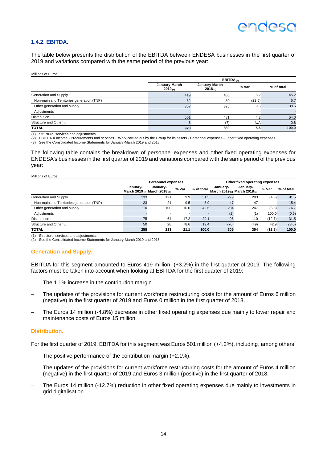#### **1.4.2. EBITDA.**

The table below presents the distribution of the EBITDA between ENDESA businesses in the first quarter of 2019 and variations compared with the same period of the previous year:

Millions of Euros

|                                           | EBITDA $(2)$                  |                               |        |            |  |  |  |
|-------------------------------------------|-------------------------------|-------------------------------|--------|------------|--|--|--|
|                                           | January-March<br>$2019_{(3)}$ | January-March<br>$2018_{(3)}$ | % Var. | % of total |  |  |  |
| Generation and Supply                     | 419                           | 406                           | 3.2    | 45.2       |  |  |  |
| Non-mainland Territories generation (TNP) | 62                            | 80                            | (22.5) | 6.7        |  |  |  |
| Other generation and supply               | 357                           | 326                           | 9.5    | 38.5       |  |  |  |
| Adjustments                               |                               |                               |        |            |  |  |  |
| <b>Distribution</b>                       | 501                           | 481                           | 4.2    | 54.0       |  |  |  |
| Structure and Other (1)                   |                               |                               | N/A    | 0.8        |  |  |  |
| <b>TOTAL</b>                              | 928                           | 880                           | 5.5    | 100.0      |  |  |  |

(1) Structure, services and adjustments.

(2) EBITDA = Income - Procurements and services + Work carried out by the Group for its assets - Personnel expenses - Other fixed operating expenses.

(3) See the Consolidated Income Statements for January-March 2019 and 2018.

The following table contains the breakdown of personnel expenses and other fixed operating expenses for ENDESA's businesses in the first quarter of 2019 and variations compared with the same period of the previous year:

| Millions of Euros                         |          |                                                                 |        |                |          |                                                                 |        |            |  |  |
|-------------------------------------------|----------|-----------------------------------------------------------------|--------|----------------|----------|-----------------------------------------------------------------|--------|------------|--|--|
|                                           |          | <b>Personnel expenses</b>                                       |        |                |          | Other fixed operating expenses                                  |        |            |  |  |
|                                           | Januarv- | January-<br>March 2019 <sub>(2)</sub> March 2018 <sub>(2)</sub> | % Var. | % of total     | January- | January-<br>March 2019 <sub>(2)</sub> March 2018 <sub>(2)</sub> | % Var. | % of total |  |  |
| Generation and Supply                     | 133      | 121                                                             | 9.9    | 51.5           | 279      | 293                                                             | (4.8)  | 91.5       |  |  |
| Non-mainland Territories generation (TNP) | 23       | 21                                                              | 9.5    | 8.9            | 47       | 47                                                              |        | 15.4       |  |  |
| Other generation and supply               | 110      | 100                                                             | 10.0   | 42.6           | 234      | 247                                                             | (5.3)  | 76.7       |  |  |
| Adjustments                               |          |                                                                 |        | $\blacksquare$ | (2)      | (1)                                                             | 100.0  | (0.6)      |  |  |
| <b>Distribution</b>                       | 75       | 64                                                              | 17.2   | 29.1           | 96       | 110                                                             | (12.7) | 31.5       |  |  |
| Structure and Other (1)                   | 50       | 28                                                              | 78.6   | 19.4           | (70)     | (49)                                                            | 42.9   | (23.0)     |  |  |
| <b>TOTAL</b>                              | 258      | 213                                                             | 21.1   | 100.0          | 305      | 354                                                             | (13.8) | 100.0      |  |  |

(1) Structure, services and adjustments.

(2) See the Consolidated Income Statements for January-March 2019 and 2018.

#### **Generation and Supply.**

EBITDA for this segment amounted to Euros 419 million, (+3.2%) in the first quarter of 2019. The following factors must be taken into account when looking at EBITDA for the first quarter of 2019:

- The 1.1% increase in the contribution margin.
- The updates of the provisions for current workforce restructuring costs for the amount of Euros 6 million (negative) in the first quarter of 2019 and Euros 0 million in the first quarter of 2018.
- The Euros 14 million (-4.8%) decrease in other fixed operating expenses due mainly to lower repair and maintenance costs of Euros 15 million.

#### **Distribution.**

For the first quarter of 2019, EBITDA for this segment was Euros 501 million (+4.2%), including, among others:

- The positive performance of the contribution margin (+2.1%).
- The updates of the provisions for current workforce restructuring costs for the amount of Euros 4 million (negative) in the first quarter of 2019 and Euros 3 million (positive) in the first quarter of 2018.
- The Euros 14 million (-12.7%) reduction in other fixed operating expenses due mainly to investments in grid digitalisation.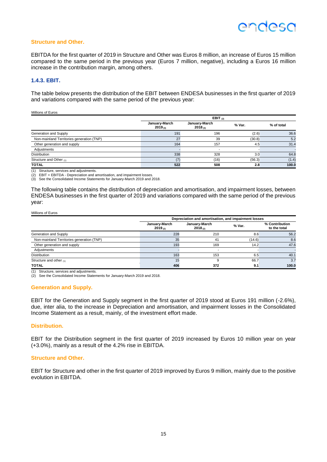#### **Structure and Other.**

EBITDA for the first quarter of 2019 in Structure and Other was Euros 8 million, an increase of Euros 15 million compared to the same period in the previous year (Euros 7 million, negative), including a Euros 16 million increase in the contribution margin, among others.

#### **1.4.3. EBIT.**

The table below presents the distribution of the EBIT between ENDESA businesses in the first quarter of 2019 and variations compared with the same period of the previous year:

| Millions of Euros |  |
|-------------------|--|
|                   |  |

|                                           | EBIT $(2)$                    |                               |        |            |  |  |
|-------------------------------------------|-------------------------------|-------------------------------|--------|------------|--|--|
|                                           | January-March<br>$2019_{(3)}$ | January-March<br>$2018_{(3)}$ | % Var. | % of total |  |  |
| Generation and Supply                     | 191                           | 196                           | (2.6)  | 36.6       |  |  |
| Non-mainland Territories generation (TNP) | 27                            | 39                            | (30.8) | 5.2        |  |  |
| Other generation and supply               | 164                           | 157                           | 4.5    | 31.4       |  |  |
| Adjustments                               |                               |                               |        |            |  |  |
| <b>Distribution</b>                       | 338                           | 328                           | 3.0    | 64.8       |  |  |
| Structure and Other (1)                   |                               | (16)                          | (56.3) | (1.4)      |  |  |
| <b>TOTAL</b>                              | 522                           | 508                           | 2.8    | 100.0      |  |  |

(1) Structure, services and adjustments.

 $(2)$  EBIT = EBITDA - Depreciation and amortisation, and impairment losses.

(3) See the Consolidated Income Statements for January-March 2019 and 2018.

The following table contains the distribution of depreciation and amortisation, and impairment losses, between ENDESA businesses in the first quarter of 2019 and variations compared with the same period of the previous year:

#### Millions of Euros

|                                           | Depreciation and amortisation, and impairment losses |                               |        |                                |  |  |  |
|-------------------------------------------|------------------------------------------------------|-------------------------------|--------|--------------------------------|--|--|--|
|                                           | January-March<br>$2019_{(2)}$                        | January-March<br>$2018_{(2)}$ | % Var. | % Contribution<br>to the total |  |  |  |
| Generation and Supply                     | 228                                                  | 210                           | 8.6    | 56.2                           |  |  |  |
| Non-mainland Territories generation (TNP) | 35                                                   | 41                            | (14.6) | 8.6                            |  |  |  |
| Other generation and supply               | 193                                                  | 169                           | 14.2   | 47.6                           |  |  |  |
| Adjustments                               |                                                      |                               |        |                                |  |  |  |
| <b>Distribution</b>                       | 163                                                  | 153                           | 6.5    | 40.1                           |  |  |  |
| Structure and other $(1)$                 | 15                                                   | 9                             | 66.7   | 3.7                            |  |  |  |
| <b>TOTAL</b>                              | 406                                                  | 372                           | 9.1    | 100.0                          |  |  |  |

(1) Structure, services and adjustments.

(2) See the Consolidated Income Statements for January-March 2019 and 2018.

#### **Generation and Supply.**

EBIT for the Generation and Supply segment in the first quarter of 2019 stood at Euros 191 million (-2.6%), due, inter alia, to the increase in Depreciation and amortisation, and impairment losses in the Consolidated Income Statement as a result, mainly, of the investment effort made.

#### **Distribution.**

EBIT for the Distribution segment in the first quarter of 2019 increased by Euros 10 million year on year (+3.0%), mainly as a result of the 4.2% rise in EBITDA.

#### **Structure and Other.**

EBIT for Structure and other in the first quarter of 2019 improved by Euros 9 million, mainly due to the positive evolution in EBITDA.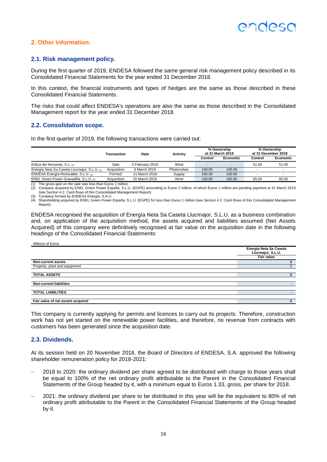### **2. Other information.**

#### **2.1. Risk management policy.**

During the first quarter of 2019, ENDESA followed the same general risk management policy described in its Consolidated Financial Statements for the year ended 31 December 2018.

In this context, the financial instruments and types of hedges are the same as those described in these Consolidated Financial Statements.

The risks that could affect ENDESA's operations are also the same as those described in the Consolidated Management report for the year ended 31 December 2018.

#### **2.2. Consolidation scope.**

In the first quarter of 2019, the following transactions were carried out:

|                                              | <b>Transaction</b> | Date            | Activity     |         | % Ownership<br>at 31 March 2019 |         | % Ownership<br>at 31 December 2018 |
|----------------------------------------------|--------------------|-----------------|--------------|---------|---------------------------------|---------|------------------------------------|
|                                              |                    |                 |              | Control | Economic                        | Control | Economic                           |
| Eólica del Noroeste, S.L. (1)                | Sale               | 5 February 2019 | Wind         |         | ٠                               | 51.00   | 51.00                              |
| Energía Neta Sa Caseta Llucmajor, S.L.U. (2) | Acquisition        | 5 March 2019    | Photovoltaic | 100.00  | 100.00                          |         |                                    |
| ENDESA Energía Renovable, S.L.U. (3)         | Formed             | 11 March 2019   | Supply       | 100.00  | 100.00                          |         |                                    |
| ENEL Green Power Granadilla, S.L.U. (4)      | Acquisition        | 25 March 2019   | Wind         | 100.00  | 100.00                          | 65.00   | 65.00                              |

(1) The gross gain on the sale was less than Euros 1 million.

(2) Company acquired by ENEL Green Power España, S.L.U. (EGPE) amounting to Euros 2 million, of which Euros 1 million are pending payment at 31 March 2019 (see Section 4.2. Cash flows of this Consolidated Management Report).

(3) Company formed by ENDESA Energía, S.A.U.<br>(4) Shareholding acquired by ENEL Green Power España, S.L.U. (EGPE) for less than Euros 1 million (see Section 4.2. Cash flows of this Consolidated Management Report).

ENDESA recognised the acquisition of Energía Neta Sa Caseta Llucmajor, S.L.U. as a business combination and, on application of the acquisition method, the assets acquired and liabilities assumed (Net Assets Acquired) of this company were definitively recognised at fair value on the acquisition date in the following headings of the Consolidated Financial Statements:

#### Millions of Euros

|                                   | Energía Neta Sa Caseta<br>Llucmajor, S.L.U. |
|-----------------------------------|---------------------------------------------|
|                                   | Fair value                                  |
| <b>Non-current assets</b>         | 2                                           |
| Property, plant and equipment     | 2                                           |
|                                   |                                             |
| <b>TOTAL ASSETS</b>               |                                             |
|                                   |                                             |
| <b>Non-current liabilities</b>    |                                             |
|                                   |                                             |
| <b>TOTAL LIABILITIES</b>          |                                             |
|                                   |                                             |
| Fair value of net assets acquired |                                             |

This company is currently applying for permits and licences to carry out its projects. Therefore, construction work has not yet started on the renewable power facilities, and therefore, no revenue from contracts with customers has been generated since the acquisition date.

#### **2.3. Dividends.**

At its session held on 20 November 2018, the Board of Directors of ENDESA, S.A. approved the following shareholder remuneration policy for 2018-2021:

- 2018 to 2020: the ordinary dividend per share agreed to be distributed with charge to those years shall be equal to 100% of the net ordinary profit attributable to the Parent in the Consolidated Financial Statements of the Group headed by it, with a minimum equal to Euros 1.33, gross, per share for 2018.
- 2021: the ordinary dividend per share to be distributed in this year will be the equivalent to 80% of net ordinary profit attributable to the Parent in the Consolidated Financial Statements of the Group headed by it.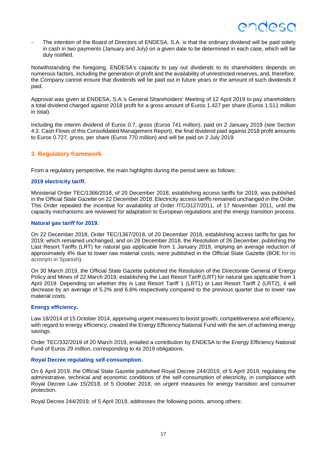The intention of the Board of Directors of ENDESA, S.A. is that the ordinary dividend will be paid solely in cash in two payments (January and July) on a given date to be determined in each case, which will be duly notified.

Notwithstanding the foregoing, ENDESA's capacity to pay out dividends to its shareholders depends on numerous factors, including the generation of profit and the availability of unrestricted reserves, and, therefore, the Company cannot ensure that dividends will be paid out in future years or the amount of such dividends if paid.

Approval was given at ENDESA, S.A.'s General Shareholders' Meeting of 12 April 2019 to pay shareholders a total dividend charged against 2018 profit for a gross amount of Euros 1.427 per share (Euros 1,511 million in total).

Including the interim dividend of Euros 0.7, gross (Euros 741 million), paid on 2 January 2019 (see Section 4.2. Cash Flows of this Consolidated Management Report), the final dividend paid against 2018 profit amounts to Euros 0.727, gross, per share (Euros 770 million) and will be paid on 2 July 2019.

#### **3. Regulatory framework.**

From a regulatory perspective, the main highlights during the period were as follows:

#### **2019 electricity tariff.**

Ministerial Order TEC/1366/2018, of 20 December 2018, establishing access tariffs for 2019, was published in the Official State Gazette on 22 December 2018. Electricity access tariffs remained unchanged in the Order. This Order repealed the incentive for availability of Order ITC/3127/2011, of 17 November 2011, until the capacity mechanisms are reviewed for adaptation to European regulations and the energy transition process.

#### **Natural gas tariff for 2019.**

On 22 December 2018, Order TEC/1367/2018, of 20 December 2018, establishing access tariffs for gas for 2019, which remained unchanged, and on 28 December 2018, the Resolution of 26 December, publishing the Last Resort Tariffs (LRT) for natural gas applicable from 1 January 2019, implying an average reduction of approximately 4% due to lower raw material costs, were published in the Official State Gazette (BOE for its acronym in Spanish).

On 30 March 2019, the Official State Gazette published the Resolution of the Directorate General of Energy Policy and Mines of 22 March 2019, establishing the Last Resort Tariff (LRT) for natural gas applicable from 1 April 2019. Depending on whether this is Last Resort Tariff 1 (LRT1) or Last Resort Tariff 2 (LRT2), it will decrease by an average of 5.2% and 6.6% respectively compared to the previous quarter due to lower raw material costs.

#### **Energy efficiency.**

Law 18/2014 of 15 October 2014, approving urgent measures to boost growth, competitiveness and efficiency, with regard to energy efficiency, created the Energy Efficiency National Fund with the aim of achieving energy savings.

Order TEC/332/2019 of 20 March 2019, entailed a contribution by ENDESA to the Energy Efficiency National Fund of Euros 29 million, corresponding to its 2019 obligations.

#### **Royal Decree regulating self-consumption.**

On 6 April 2019, the Official State Gazette published Royal Decree 244/2019, of 5 April 2019, regulating the administrative, technical and economic conditions of the self-consumption of electricity, in compliance with Royal Decree Law 15/2018, of 5 October 2018, on urgent measures for energy transition and consumer protection.

Royal Decree 244/2019, of 5 April 2019, addresses the following points, among others: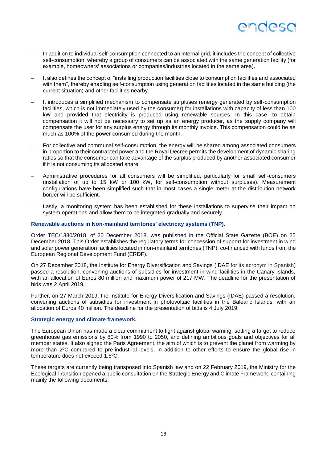

- In addition to individual self-consumption connected to an internal grid, it includes the concept of collective self-consumption, whereby a group of consumers can be associated with the same generation facility (for example, homeowners' associations or companies/industries located in the same area).
- It also defines the concept of "installing production facilities close to consumption facilities and associated with them", thereby enabling self-consumption using generation facilities located in the same building (the current situation) and other facilities nearby.
- It introduces a simplified mechanism to compensate surpluses (energy generated by self-consumption facilities, which is not immediately used by the consumer) for installations with capacity of less than 100 kW and provided that electricity is produced using renewable sources. In this case, to obtain compensation it will not be necessary to set up as an energy producer, as the supply company will compensate the user for any surplus energy through its monthly invoice. This compensation could be as much as 100% of the power consumed during the month.
- For collective and communal self-consumption, the energy will be shared among associated consumers in proportion to their contracted power and the Royal Decree permits the development of dynamic sharing ratios so that the consumer can take advantage of the surplus produced by another associated consumer if it is not consuming its allocated share.
- Administrative procedures for all consumers will be simplified, particularly for small self-consumers (installation of up to 15 kW or 100 kW, for self-consumption without surpluses). Measurement configurations have been simplified such that in most cases a single meter at the distribution network border will be sufficient.
- Lastly, a monitoring system has been established for these installations to supervise their impact on system operations and allow them to be integrated gradually and securely.

#### **Renewable auctions in Non-mainland territories' electricity systems (TNP).**

Order TEC/1380/2018, of 20 December 2018, was published in the Official State Gazette (BOE) on 25 December 2018. This Order establishes the regulatory terms for concession of support for investment in wind and solar power generation facilities located in non-mainland territories (TNP), co-financed with funds from the European Regional Development Fund (ERDF).

On 27 December 2018, the Institute for Energy Diversification and Savings (IDAE for its acronym in Spanish) passed a resolution, convening auctions of subsidies for investment in wind facilities in the Canary Islands, with an allocation of Euros 80 million and maximum power of 217 MW. The deadline for the presentation of bids was 2 April 2019.

Further, on 27 March 2019, the Institute for Energy Diversification and Savings (IDAE) passed a resolution, convening auctions of subsidies for investment in photovoltaic facilities in the Balearic Islands, with an allocation of Euros 40 million. The deadline for the presentation of bids is 4 July 2019.

#### **Strategic energy and climate framework.**

The European Union has made a clear commitment to fight against global warning, setting a target to reduce greenhouse gas emissions by 80% from 1990 to 2050, and defining ambitious goals and objectives for all member states. It also signed the Paris Agreement, the aim of which is to prevent the planet from warming by more than 2ºC compared to pre-industrial levels, in addition to other efforts to ensure the global rise in temperature does not exceed 1.5ºC.

These targets are currently being transposed into Spanish law and on 22 February 2019, the Ministry for the Ecological Transition opened a public consultation on the Strategic Energy and Climate Framework, containing mainly the following documents: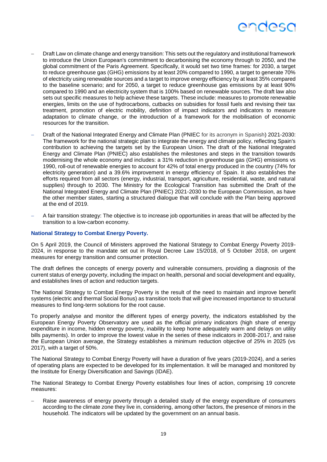

- Draft Law on climate change and energy transition: This sets out the regulatory and institutional framework to introduce the Union European's commitment to decarbonising the economy through to 2050, and the global commitment of the Paris Agreement. Specifically, it would set two time frames: for 2030, a target to reduce greenhouse gas (GHG) emissions by at least 20% compared to 1990, a target to generate 70% of electricity using renewable sources and a target to improve energy efficiency by at least 35% compared to the baseline scenario; and for 2050, a target to reduce greenhouse gas emissions by at least 90% compared to 1990 and an electricity system that is 100% based on renewable sources. The draft law also sets out specific measures to help achieve these targets. These include: measures to promote renewable energies, limits on the use of hydrocarbons, cutbacks on subsidies for fossil fuels and revising their tax treatment, promotion of electric mobility, definition of impact indicators and indicators to measure adaptation to climate change, or the introduction of a framework for the mobilisation of economic resources for the transition.
- Draft of the National Integrated Energy and Climate Plan (PNIEC for its acronym in Spanish) 2021-2030: The framework for the national strategic plan to integrate the energy and climate policy, reflecting Spain's contribution to achieving the targets set by the European Union. The draft of the National Integrated Energy and Climate Plan (PNIEC) also establishes the milestones and steps in the transition towards modernising the whole economy and includes: a 31% reduction in greenhouse gas (GHG) emissions vs 1990, roll-out of renewable energies to account for 42% of total energy produced in the country (74% for electricity generation) and a 39.6% improvement in energy efficiency of Spain. It also establishes the efforts required from all sectors (energy, industrial, transport, agriculture, residential, waste, and natural supplies) through to 2030. The Ministry for the Ecological Transition has submitted the Draft of the National Integrated Energy and Climate Plan (PNIEC) 2021-2030 to the European Commission, as have the other member states, starting a structured dialogue that will conclude with the Plan being approved at the end of 2019.
- A fair transition strategy: The objective is to increase job opportunities in areas that will be affected by the transition to a low-carbon economy.

#### **National Strategy to Combat Energy Poverty.**

On 5 April 2019, the Council of Ministers approved the National Strategy to Combat Energy Poverty 2019- 2024, in response to the mandate set out in Royal Decree Law 15/2018, of 5 October 2018, on urgent measures for energy transition and consumer protection.

The draft defines the concepts of energy poverty and vulnerable consumers, providing a diagnosis of the current status of energy poverty, including the impact on health, personal and social development and equality, and establishes lines of action and reduction targets.

The National Strategy to Combat Energy Poverty is the result of the need to maintain and improve benefit systems (electric and thermal Social Bonus) as transition tools that will give increased importance to structural measures to find long-term solutions for the root cause.

To properly analyse and monitor the different types of energy poverty, the indicators established by the European Energy Poverty Observatory are used as the official primary indicators (high share of energy expenditure in income, hidden energy poverty, inability to keep home adequately warm and delays on utility bills payments). In order to improve the lowest value in the series of these indicators in 2008-2017, and raise the European Union average, the Strategy establishes a minimum reduction objective of 25% in 2025 (vs 2017), with a target of 50%.

The National Strategy to Combat Energy Poverty will have a duration of five years (2019-2024), and a series of operating plans are expected to be developed for its implementation. It will be managed and monitored by the Institute for Energy Diversification and Savings (IDAE).

The National Strategy to Combat Energy Poverty establishes four lines of action, comprising 19 concrete measures:

 Raise awareness of energy poverty through a detailed study of the energy expenditure of consumers according to the climate zone they live in, considering, among other factors, the presence of minors in the household. The indicators will be updated by the government on an annual basis.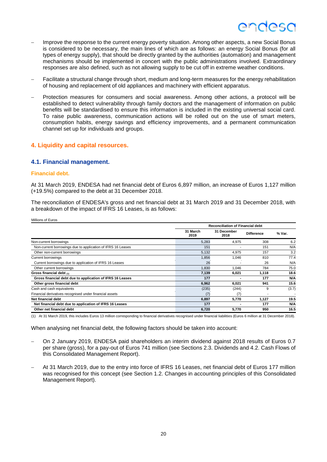### endesc

- Improve the response to the current energy poverty situation. Among other aspects, a new Social Bonus is considered to be necessary, the main lines of which are as follows: an energy Social Bonus (for all types of energy supply), that should be directly granted by the authorities (automation) and management mechanisms should be implemented in concert with the public administrations involved. Extraordinary responses are also defined, such as not allowing supply to be cut off in extreme weather conditions.
- Facilitate a structural change through short, medium and long-term measures for the energy rehabilitation of housing and replacement of old appliances and machinery with efficient apparatus.
- Protection measures for consumers and social awareness. Among other actions, a protocol will be established to detect vulnerability through family doctors and the management of information on public benefits will be standardised to ensure this information is included in the existing universal social card. To raise public awareness, communication actions will be rolled out on the use of smart meters, consumption habits, energy savings and efficiency improvements, and a permanent communication channel set up for individuals and groups.

#### **4. Liquidity and capital resources.**

#### **4.1. Financial management.**

#### **Financial debt.**

At 31 March 2019, ENDESA had net financial debt of Euros 6,897 million, an increase of Euros 1,127 million (+19.5%) compared to the debt at 31 December 2018.

The reconciliation of ENDESA's gross and net financial debt at 31 March 2019 and 31 December 2018, with a breakdown of the impact of IFRS 16 Leases, is as follows:

| Millions of Euros                                           |                  |                                         |                   |            |  |  |  |
|-------------------------------------------------------------|------------------|-----------------------------------------|-------------------|------------|--|--|--|
|                                                             |                  | <b>Reconciliation of Financial debt</b> |                   |            |  |  |  |
|                                                             | 31 March<br>2019 | 31 December<br>2018                     | <b>Difference</b> | % Var.     |  |  |  |
| Non-current borrowings                                      | 5,283            | 4.975                                   | 308               | 6.2        |  |  |  |
| Non-current borrowings due to application of IFRS 16 Leases | 151              |                                         | 151               | N/A        |  |  |  |
| Other non-current borrowings                                | 5,132            | 4,975                                   | 157               | 3.2        |  |  |  |
| <b>Current borrowings</b>                                   | 1,856            | 1,046                                   | 810               | 77.4       |  |  |  |
| Current borrowings due to application of IFRS 16 Leases     | 26               |                                         | 26                | N/A        |  |  |  |
| Other current borrowings                                    | 1,830            | 1,046                                   | 784               | 75.0       |  |  |  |
| Gross financial debt (1)                                    | 7,139            | 6,021                                   | 1,118             | 18.6       |  |  |  |
| Gross financial debt due to application of IFRS 16 Leases   | 177              |                                         | 177               | N/A        |  |  |  |
| Other gross financial debt                                  | 6,962            | 6,021                                   | 941               | 15.6       |  |  |  |
| Cash and cash equivalents                                   | (235)            | (244)                                   | 9                 | (3.7)      |  |  |  |
| Financial derivatives recognised under financial assets     | (7)              | (7)                                     | ٠.                |            |  |  |  |
| Net financial debt                                          | 6,897            | 5,770                                   | 1,127             | 19.5       |  |  |  |
| Net financial debt due to application of IFRS 16 Leases     | 177              |                                         | 177               | <b>N/A</b> |  |  |  |
| Other net financial debt                                    | 6,720            | 5,770                                   | 950               | 16.5       |  |  |  |

(1) At 31 March 2019, this includes Euros 13 million corresponding to financial derivatives recognised under financial liabilities (Euros 6 million at 31 December 2018).

When analysing net financial debt, the following factors should be taken into account:

- On 2 January 2019, ENDESA paid shareholders an interim dividend against 2018 results of Euros 0.7 per share (gross), for a pay-out of Euros 741 million (see Sections 2.3. Dividends and 4.2. Cash Flows of this Consolidated Management Report).
- At 31 March 2019, due to the entry into force of IFRS 16 Leases, net financial debt of Euros 177 million was recognised for this concept (see Section 1.2. Changes in accounting principles of this Consolidated Management Report).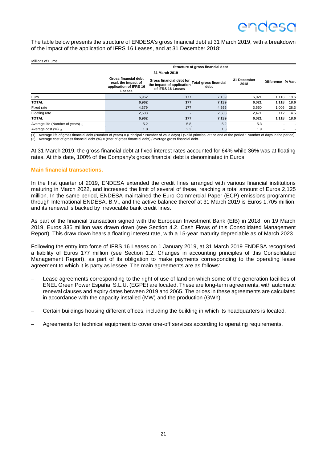The table below presents the structure of ENDESA's gross financial debt at 31 March 2019, with a breakdown of the impact of the application of IFRS 16 Leases, and at 31 December 2018:

| Millions of Euros                       |                                                                                        |                                                                                                             |       |                     |                   |      |
|-----------------------------------------|----------------------------------------------------------------------------------------|-------------------------------------------------------------------------------------------------------------|-------|---------------------|-------------------|------|
| Structure of gross financial debt       |                                                                                        |                                                                                                             |       |                     |                   |      |
|                                         |                                                                                        | 31 March 2019                                                                                               |       |                     |                   |      |
|                                         | <b>Gross financial debt</b><br>excl. the impact of<br>application of IFRS 16<br>Leases | Gross financial debt for<br>Total gross financial<br>the impact of application<br>debt<br>of IFRS 16 Leases |       | 31 December<br>2018 | Difference % Var. |      |
| Euro                                    | 6,962                                                                                  | 177                                                                                                         | 7.139 | 6,021               | 1,118             | 18.6 |
| <b>TOTAL</b>                            | 6,962                                                                                  | 177                                                                                                         | 7,139 | 6,021               | 1,118             | 18.6 |
| Fixed rate                              | 4,379                                                                                  | 177                                                                                                         | 4,556 | 3,550               | 1,006             | 28.3 |
| Floating rate                           | 2,583                                                                                  |                                                                                                             | 2,583 | 2,471               | 112               | 4.5  |
| <b>TOTAL</b>                            | 6,962                                                                                  | 177                                                                                                         | 7,139 | 6,021               | 1,118             | 18.6 |
| Average life (Number of years) $_{(1)}$ | 5.2                                                                                    | 5.8                                                                                                         | 5.2   | 5.3                 |                   |      |
| Average cost $(\%)_{(2)}$               | 1.8                                                                                    | 2.2                                                                                                         | 1.8   | 1.9                 |                   |      |

(1) Average life of gross financial debt (Number of years) = (Principal \* Number of valid days) / (Valid principal at the end of the period \* Number of days in the period).

 $(2)$  Average cost of gross financial debt  $(%) = (cost of gross financial debt) / average gross financial debt.$ 

At 31 March 2019, the gross financial debt at fixed interest rates accounted for 64% while 36% was at floating rates. At this date, 100% of the Company's gross financial debt is denominated in Euros.

#### **Main financial transactions.**

In the first quarter of 2019, ENDESA extended the credit lines arranged with various financial institutions maturing in March 2022, and increased the limit of several of these, reaching a total amount of Euros 2,125 million. In the same period, ENDESA maintained the Euro Commercial Paper (ECP) emissions programme through International ENDESA, B.V., and the active balance thereof at 31 March 2019 is Euros 1,705 million, and its renewal is backed by irrevocable bank credit lines.

As part of the financial transaction signed with the European Investment Bank (EIB) in 2018, on 19 March 2019, Euros 335 million was drawn down (see Section 4.2. Cash Flows of this Consolidated Management Report). This draw down bears a floating interest rate, with a 15-year maturity depreciable as of March 2023.

Following the entry into force of IFRS 16 Leases on 1 January 2019, at 31 March 2019 ENDESA recognised a liability of Euros 177 million (see Section 1.2. Changes in accounting principles of this Consolidated Management Report), as part of its obligation to make payments corresponding to the operating lease agreement to which it is party as lessee. The main agreements are as follows:

- Lease agreements corresponding to the right of use of land on which some of the generation facilities of ENEL Green Power España, S.L.U. (EGPE) are located. These are long-term agreements, with automatic renewal clauses and expiry dates between 2019 and 2065. The prices in these agreements are calculated in accordance with the capacity installed (MW) and the production (GWh).
- Certain buildings housing different offices, including the building in which its headquarters is located.
- Agreements for technical equipment to cover one-off services according to operating requirements.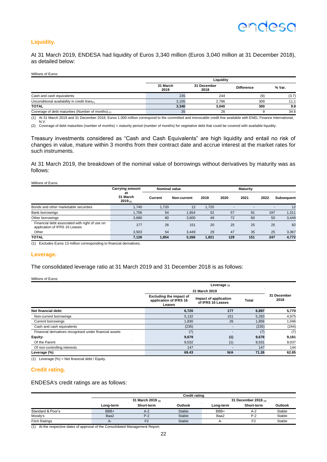#### **Liquidity.**

At 31 March 2019, ENDESA had liquidity of Euros 3,340 million (Euros 3,040 million at 31 December 2018), as detailed below:

#### Millions of Euros

|                                                    | Liauidity        |                     |                   |        |  |
|----------------------------------------------------|------------------|---------------------|-------------------|--------|--|
|                                                    | 31 March<br>2019 | 31 December<br>2018 | <b>Difference</b> | % Var. |  |
| Cash and cash equivalents                          | 235              | 244                 | (9)               | (3.7)  |  |
| Unconditional availability in credit lines $(1)$   | 3.105            | 2.796               | 309               | 11.1   |  |
| <b>TOTAL</b>                                       | 3,340            | 3.040               | 300               | 9.9    |  |
| Coverage of debt maturities (Number of months) (2) | 35               | 26                  |                   | 34.6   |  |

(1) At 31 March 2019 and 31 December 2018, Euros 1.000 million correspond to the committed and irrevocable credit line available with ENEL Finance International, N.V.

(2) Coverage of debt maturities (number of months) = maturity period (number of months) for vegetative debt that could be covered with available liquidity.

Treasury investments considered as "Cash and Cash Equivalents" are high liquidity and entail no risk of changes in value, mature within 3 months from their contract date and accrue interest at the market rates for such instruments.

At 31 March 2019, the breakdown of the nominal value of borrowings without derivatives by maturity was as follows:

#### Millions of Euros

|                                                                                 | <b>Carrying amount</b>         | <b>Nominal value</b> |             |       |                          | <b>Maturity</b> |                          |                   |
|---------------------------------------------------------------------------------|--------------------------------|----------------------|-------------|-------|--------------------------|-----------------|--------------------------|-------------------|
|                                                                                 | at<br>31 March<br>$2019_{(1)}$ | Current              | Non-current | 2019  | 2020                     | 2021            | 2022                     | <b>Subsequent</b> |
| Bonds and other marketable securities                                           | 1.740                          | 1,720                | 12          | 1,720 | $\overline{\phantom{0}}$ |                 | $\overline{\phantom{a}}$ | 12                |
| <b>Bank borrowings</b>                                                          | 1.706                          | 54                   | 1,654       | 52    | 57                       | 91              | 197                      | 1,311             |
| Other borrowings                                                                | 3,680                          | 80                   | 3,600       | 49    | 72                       | 60              | 50                       | 3,449             |
| Financial debt associated with right of use on<br>application of IFRS 16 Leases | 177                            | 26                   | 151         | 20    | 25                       | 25              | 25                       | 82                |
| Other                                                                           | 3.503                          | 54                   | 3.449       | 29    | 47                       | 35              | 25                       | 3,367             |
| <b>TOTAL</b>                                                                    | 7,126                          | 1.854                | 5,266       | 1,821 | 129                      | 151             | 247                      | 4,772             |

(1) Excludes Euros 13 million corresponding to financial derivatives.

#### **Leverage.**

The consolidated leverage ratio at 31 March 2019 and 31 December 2018 is as follows:

#### Millions of Euros

|                                                         |                                                                    | Leverage $(1)$                             |       |                     |  |
|---------------------------------------------------------|--------------------------------------------------------------------|--------------------------------------------|-------|---------------------|--|
|                                                         |                                                                    | 31 March 2019                              |       |                     |  |
|                                                         | <b>Excluding the impact of</b><br>application of IFRS 16<br>Leases | Impact of application<br>of IFRS 16 Leases | Total | 31 December<br>2018 |  |
| Net financial debt:                                     | 6,720                                                              | 177                                        | 6,897 | 5,770               |  |
| Non-current borrowings                                  | 5,132                                                              | 151                                        | 5,283 | 4,975               |  |
| <b>Current borrowings</b>                               | 1,830                                                              | 26                                         | 1,856 | 1,046               |  |
| Cash and cash equivalents                               | (235)                                                              | -                                          | (235) | (244)               |  |
| Financial derivatives recognised under financial assets | (7)                                                                |                                            | (7)   | (7)                 |  |
| Equity:                                                 | 9,679                                                              | (1)                                        | 9,678 | 9,181               |  |
| Of the Parent                                           | 9,532                                                              | (1)                                        | 9,531 | 9,037               |  |
| Of non-controlling interests                            | 147                                                                |                                            | 147   | 144                 |  |
| Leverage (%)                                            | 69.43                                                              | N/A                                        | 71.26 | 62.85               |  |

(1) Leverage  $(\%)$  = Net financial debt / Equity.

#### **Credit rating.**

ENDESA's credit ratings are as follows:

|                      | <b>Credit rating</b>   |                |         |           |                           |         |
|----------------------|------------------------|----------------|---------|-----------|---------------------------|---------|
|                      | 31 March 2019 $_{(1)}$ |                |         |           | 31 December 2018 $_{(1)}$ |         |
|                      | Long-term              | Short-term     | Outlook | Long-term | Short-term                | Outlook |
| Standard & Poor's    | BBB+                   | $A-2$          | Stable  | BBB+      | $A-2$                     | Stable  |
| Moody's              | Baa2                   | $P-2$          | Stable  | Baa2      | $P-2$                     | Stable  |
| <b>Fitch Ratings</b> | A-                     | F <sub>2</sub> | Stable  | А-        | F <sub>2</sub>            | Stable  |
|                      | .                      |                |         |           |                           |         |

(1) At the respective dates of approval of the Consolidated Management Report.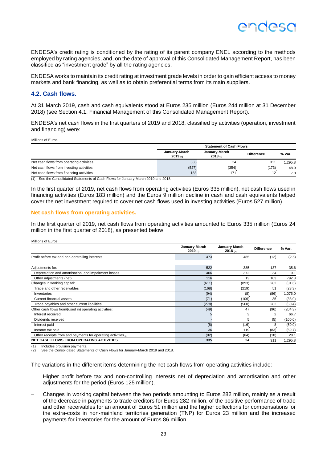ENDESA's credit rating is conditioned by the rating of its parent company ENEL according to the methods employed by rating agencies, and, on the date of approval of this Consolidated Management Report, has been classified as "investment grade" by all the rating agencies.

ENDESA works to maintain its credit rating at investment grade levels in order to gain efficient access to money markets and bank financing, as well as to obtain preferential terms from its main suppliers.

#### **4.2. Cash flows.**

At 31 March 2019, cash and cash equivalents stood at Euros 235 million (Euros 244 million at 31 December 2018) (see Section 4.1. Financial Management of this Consolidated Management Report).

ENDESA's net cash flows in the first quarters of 2019 and 2018, classified by activities (operation, investment and financing) were:

Millions of Euros

Millions of Euros

|                                          | <b>Statement of Cash Flows</b> |                               |                   |        |  |  |
|------------------------------------------|--------------------------------|-------------------------------|-------------------|--------|--|--|
|                                          | January-March<br>2019(n)       | January-March<br>$2018_{(1)}$ | <b>Difference</b> | % Var. |  |  |
| Net cash flows from operating activities | 335                            | 24                            | 311               | .295.8 |  |  |
| Net cash flows from investing activities | (527)                          | (354)                         | (173)             | 48.9   |  |  |
| Net cash flows from financing activities | 183                            | 17'                           | 12                | 7.0    |  |  |

(1) See the Consolidated Statements of Cash Flows for January-March 2019 and 2018.

In the first quarter of 2019, net cash flows from operating activities (Euros 335 million), net cash flows used in financing activities (Euros 183 million) and the Euros 9 million decline in cash and cash equivalents helped cover the net investment required to cover net cash flows used in investing activities (Euros 527 million).

#### **Net cash flows from operating activities.**

In the first quarter of 2019, net cash flows from operating activities amounted to Euros 335 million (Euros 24 million in the first quarter of 2018), as presented below:

|                                                                 | January-March<br>2019(2) | January-March<br>2018(2) | <b>Difference</b> | % Var.  |
|-----------------------------------------------------------------|--------------------------|--------------------------|-------------------|---------|
| Profit before tax and non-controlling interests                 | 473                      | 485                      | (12)              | (2.5)   |
| Adjustments for:                                                | 522                      | 385                      | 137               | 35.6    |
| Depreciation and amortisation, and impairment losses            | 406                      | 372                      | 34                | 9.1     |
| Other adjustments (net)                                         | 116                      | 13                       | 103               | 792.3   |
| Changes in working capital:                                     | (611)                    | (893)                    | 282               | (31.6)  |
| Trade and other receivables                                     | (168)                    | (219)                    | 51                | (23.3)  |
| Inventories                                                     | (94)                     | (8)                      | (86)              | ,075.0  |
| Current financial assets                                        | (71)                     | (106)                    | 35                | (33.0)  |
| Trade payables and other current liabilities                    | (278)                    | (560)                    | 282               | (50.4)  |
| Other cash flows from/(used in) operating activities:           | (49)                     | 47                       | (96)              | (204.3) |
| Interest received                                               | 5                        | 3                        | 2                 | 66.7    |
| Dividends received                                              |                          | 5                        | (5)               | (100.0) |
| Interest paid                                                   | (8)                      | (16)                     | 8                 | (50.0)  |
| Income tax paid                                                 | 36                       | 119                      | (83)              | (69.7)  |
| Other receipts from and payments for operating activities $(1)$ | (82)                     | (64)                     | (18)              | 28.1    |
| <b>NET CASH FLOWS FROM OPERATING ACTIVITIES</b>                 | 335                      | 24                       | 311               | ,295.8  |

Includes provision payments.

See the Consolidated Statements of Cash Flows for January-March 2019 and 2018.

The variations in the different items determining the net cash flows from operating activities include:

- Higher profit before tax and non-controlling interests net of depreciation and amortisation and other adjustments for the period (Euros 125 million).
- Changes in working capital between the two periods amounting to Euros 282 million, mainly as a result of the decrease in payments to trade creditors for Euros 282 million, of the positive performance of trade and other receivables for an amount of Euros 51 million and the higher collections for compensations for the extra-costs in non-mainland territories generation (TNP) for Euros 23 million and the increased payments for inventories for the amount of Euros 86 million.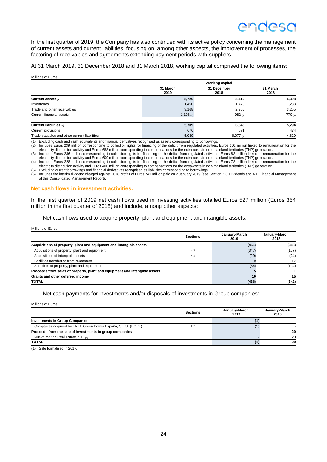In the first quarter of 2019, the Company has also continued with its active policy concerning the management of current assets and current liabilities, focusing on, among other aspects, the improvement of processes, the factoring of receivables and agreements extending payment periods with suppliers.

At 31 March 2019, 31 December 2018 and 31 March 2018, working capital comprised the following items:

Millions of Euros

|                                              |                  | <b>Working capital</b> |                  |  |  |
|----------------------------------------------|------------------|------------------------|------------------|--|--|
|                                              | 31 March<br>2019 | 31 December<br>2018    | 31 March<br>2018 |  |  |
| Current assets $(1)$                         | 5,726            | 5,410                  | 5,308            |  |  |
| Inventories                                  | 1,450            | 1.473                  | 1,283            |  |  |
| Trade and other receivables                  | 3,168            | 2,955                  | 3,255            |  |  |
| Current financial assets                     | 1,108(2)         | 982(3)                 | 770 (4)          |  |  |
| Current liabilities $(5)$                    | 5,709            | 6,648                  | 5,294            |  |  |
| <b>Current provisions</b>                    | 670              | 571                    | 474              |  |  |
| Trade payables and other current liabilities | 5,039            | $6,077$ (6)            | 4.820            |  |  |
|                                              |                  |                        |                  |  |  |

(1) Excluding cash and cash equivalents and financial derivatives recognised as assets corresponding to borrowings.

2) Includes Euros 239 million corresponding to collection rights for financing of the deficit from regulated activities, Euros 102 million linked to remuneration for the electricity distribution activity and Euros 688 mill

electricity distribution activity and Euros 609 million corresponding to compensations for the extra-costs in non-mainland territories (TNP) generation.<br>(4) Includes Euros 228 million corresponding to collection rights for

(5) Excluding current borrowings and financial derivatives recognised as liabilities corresponding to borrowings.<br>(6) Includes the interim dividend charged against 2018 profits of Euros 741 million paid on 2 January 2019 ( of this Consolidated Management Report).

#### **Net cash flows in investment activities.**

In the first quarter of 2019 net cash flows used in investing activities totalled Euros 527 million (Euros 354 million in the first quarter of 2018) and include, among other aspects:

Net cash flows used to acquire property, plant and equipment and intangible assets:

Millions of Euros

|                                                                            | <b>Sections</b> | January-March<br>2019 | January-March<br>2018 |
|----------------------------------------------------------------------------|-----------------|-----------------------|-----------------------|
| Acquisitions of property, plant and equipment and intangible assets        |                 | (451)                 | (358)                 |
| Acquisitions of property, plant and equipment                              | 4.3             | (347)                 | (157)                 |
| Acquisitions of intangible assets                                          | 4.3             | (29)                  | (24)                  |
| Facilities transferred from customers                                      |                 |                       | 17                    |
| Suppliers of property, plant and equipment                                 |                 | (84)                  | (194)                 |
| Proceeds from sales of property, plant and equipment and intangible assets |                 |                       |                       |
| Grants and other deferred income                                           |                 | 10                    | 15                    |
| <b>TOTAL</b>                                                               |                 | (436)                 | (342)                 |

Net cash payments for investments and/or disposals of investments in Group companies:

Millions of Euros

|                                                              | <b>Sections</b> | January-March<br>2019 | January-March<br>2018 |
|--------------------------------------------------------------|-----------------|-----------------------|-----------------------|
| <b>Investments in Group Companies</b>                        |                 |                       |                       |
| Companies acquired by ENEL Green Power España, S.L.U. (EGPE) | 2.2             |                       |                       |
| Proceeds from the sale of investments in group companies     |                 |                       | 20                    |
| Nueva Marina Real Estate, S.L. (1)                           |                 |                       | 20                    |
| <b>TOTAL</b>                                                 |                 |                       | 20                    |

(1) Sale formalised in 2017.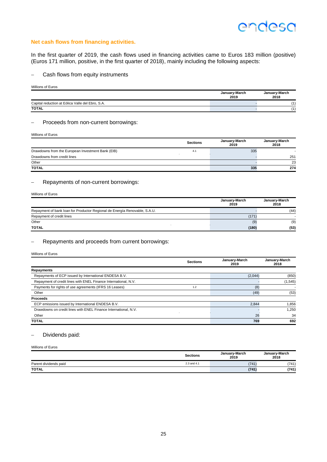#### **Net cash flows from financing activities.**

In the first quarter of 2019, the cash flows used in financing activities came to Euros 183 million (positive) (Euros 171 million, positive, in the first quarter of 2018), mainly including the following aspects:

- Cash flows from equity instruments

Millions of Euros

|                                                  | January-March<br>2019 | January-March<br>2018 |
|--------------------------------------------------|-----------------------|-----------------------|
| Capital reduction at Eólica Valle del Ebro, S.A. |                       | $\overline{A}$        |
| <b>TOTAL</b>                                     |                       | $\overline{A}$        |

#### Proceeds from non-current borrowings:

Millions of Euros

|                                                   | <b>Sections</b> | January-March<br>2019 | January-March<br>2018 |
|---------------------------------------------------|-----------------|-----------------------|-----------------------|
| Drawdowns from the European Investment Bank (EIB) | 4.1             | 335                   |                       |
| Drawdowns from credit lines                       |                 |                       | 251                   |
| Other                                             |                 |                       | 23                    |
| <b>TOTAL</b>                                      |                 | 335                   | 274                   |

#### - Repayments of non-current borrowings:

| Millions of Euros                                                          |                       |                       |  |  |
|----------------------------------------------------------------------------|-----------------------|-----------------------|--|--|
|                                                                            | January-March<br>2019 | January-March<br>2018 |  |  |
| Repayment of bank loan for Productor Regional de Energía Renovable, S.A.U. |                       | (44)                  |  |  |
| Repayment of credit lines                                                  | (171)                 |                       |  |  |
| Other                                                                      | (9)                   | (9)                   |  |  |
| <b>TOTAL</b>                                                               | (180)                 | (53)                  |  |  |

#### Repayments and proceeds from current borrowings:

Millions of Euros

|                                                                 | <b>Sections</b> | January-March<br>2019 | January-March<br>2018 |
|-----------------------------------------------------------------|-----------------|-----------------------|-----------------------|
| Repayments                                                      |                 |                       |                       |
| Repayments of ECP issued by International ENDESA B.V.           |                 | (2,044)               | (850)                 |
| Repayment of credit lines with ENEL Finance International, N.V. |                 |                       | (1, 545)              |
| Payments for rights of use agreements (IFRS 16 Leases)          | 1.2             | (8)                   |                       |
| Other                                                           |                 | (49)                  | (53)                  |
| <b>Proceeds</b>                                                 |                 |                       |                       |
| ECP emissions issued by International ENDESA B.V.               |                 | 2,844                 | 1,856                 |
| Drawdowns on credit lines with ENEL Finance International, N.V. |                 |                       | 1,250                 |
| Other                                                           |                 | 26                    | 34                    |
| <b>TOTAL</b>                                                    |                 | 769                   | 692                   |

#### Dividends paid:

#### Millions of Euros

|                       | <b>Sections</b> | January-March<br>2019 | January-March<br>2018 |
|-----------------------|-----------------|-----------------------|-----------------------|
| Parent dividends paid | 2.3 and 4.1     | (741)                 | (741)                 |
| <b>TOTAL</b>          |                 | (741)                 | (741)                 |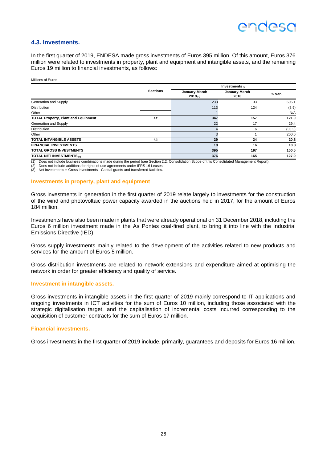## endesc

#### **4.3. Investments.**

In the first quarter of 2019, ENDESA made gross investments of Euros 395 million. Of this amount, Euros 376 million were related to investments in property, plant and equipment and intangible assets, and the remaining Euros 19 million to financial investments, as follows:

Millions of Euros

|                                            |                 |                          | Investments $(1)$     |        |
|--------------------------------------------|-----------------|--------------------------|-----------------------|--------|
|                                            | <b>Sections</b> | January-March<br>2019(2) | January-March<br>2018 | % Var. |
| Generation and Supply                      |                 | 233                      | 33                    | 606.1  |
| <b>Distribution</b>                        |                 | 113                      | 124                   | (8.9)  |
| Other                                      |                 |                          |                       | N/A    |
| <b>TOTAL Property, Plant and Equipment</b> | 4.2             | 347                      | 157                   | 121.0  |
| Generation and Supply                      |                 | 22                       | 17                    | 29.4   |
| <b>Distribution</b>                        |                 |                          | 6                     | (33.3) |
| Other                                      |                 |                          |                       | 200.0  |
| <b>TOTAL INTANGIBLE ASSETS</b>             | 4.2             | 29                       | 24                    | 20.8   |
| <b>FINANCIAL INVESTMENTS</b>               |                 | 19                       | 16                    | 18.8   |
| <b>TOTAL GROSS INVESTMENTS</b>             |                 | 395                      | 197                   | 100.5  |
| TOTAL NET INVESTMENTS (3)                  |                 | 376                      | 165                   | 127.9  |

(1) Does not include business combinations made during the period (see Section 2.2. Consolidation Scope of this Consolidated Management Report).

(2) Does not include additions for rights of use agreements under IFRS 16 Leases. (3) Net investments = Gross investments - Capital grants and transferred facilities.

#### **Investments in property, plant and equipment**

Gross investments in generation in the first quarter of 2019 relate largely to investments for the construction of the wind and photovoltaic power capacity awarded in the auctions held in 2017, for the amount of Euros 184 million.

Investments have also been made in plants that were already operational on 31 December 2018, including the Euros 6 million investment made in the As Pontes coal-fired plant, to bring it into line with the Industrial Emissions Directive (IED).

Gross supply investments mainly related to the development of the activities related to new products and services for the amount of Euros 5 million.

Gross distribution investments are related to network extensions and expenditure aimed at optimising the network in order for greater efficiency and quality of service.

#### **Investment in intangible assets.**

Gross investments in intangible assets in the first quarter of 2019 mainly correspond to IT applications and ongoing investments in ICT activities for the sum of Euros 10 million, including those associated with the strategic digitalisation target, and the capitalisation of incremental costs incurred corresponding to the acquisition of customer contracts for the sum of Euros 17 million.

#### **Financial investments.**

Gross investments in the first quarter of 2019 include, primarily, guarantees and deposits for Euros 16 million.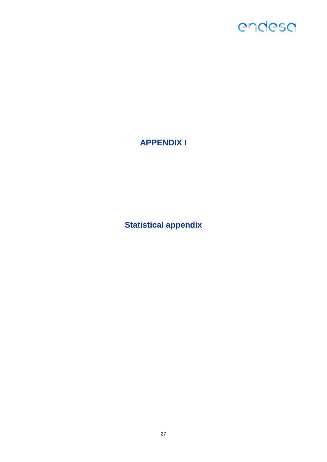### **APPENDIX I**

**Statistical appendix**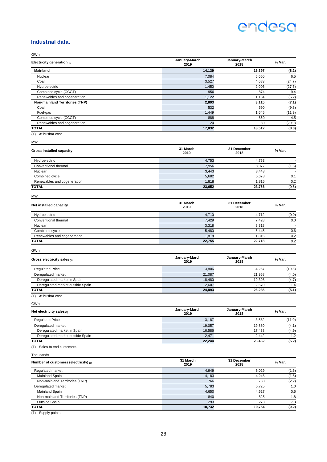#### **Industrial data.**

| GWh                                   |                       |                       |        |
|---------------------------------------|-----------------------|-----------------------|--------|
| Electricity generation $(1)$          | January-March<br>2019 | January-March<br>2018 | % Var. |
| <b>Mainland</b>                       | 14,139                | 15,397                | (8.2)  |
| Nuclear                               | 7,084                 | 6.650                 | 6.5    |
| Coal                                  | 3,527                 | 4,683                 | (24.7) |
| Hydroelectric                         | 1,450                 | 2,006                 | (27.7) |
| Combined cycle (CCGT)                 | 956                   | 874                   | 9.4    |
| Renewables and cogeneration           | 1,122                 | 1,184                 | (5.2)  |
| <b>Non-mainland Territories (TNP)</b> | 2,893                 | 3,115                 | (7.1)  |
| Coal                                  | 532                   | 590                   | (9.8)  |
| Fuel-gas                              | 1,449                 | 1,645                 | (11.9) |
| Combined cycle (CCGT)                 | 888                   | 850                   | 4.5    |
| Renewables and cogeneration           | 24                    | 30                    | (20.0) |
| <b>TOTAL</b>                          | 17,032                | 18,512                | (8.0)  |
| (1) At busbar cost.                   |                       |                       |        |
| MW                                    |                       |                       |        |
| <b>Gross installed capacity</b>       | 31 March<br>2019      | 31 December<br>2018   | % Var. |
| Hydroelectric                         | 4,753                 | 4,753                 |        |
| Conventional thermal                  | 7,956                 | 8,077                 | (1.5)  |
| Nuclear                               | 3,443                 | 3,443                 |        |
| Combined cycle                        | 5,682                 | 5,678                 | 0.1    |
| Renewables and cogeneration           | 1,818                 | 1,815                 | 0.2    |
| <b>TOTAL</b>                          | 23,652                | 23,766                | (0.5)  |
| <b>MW</b>                             |                       |                       |        |
| Net installed capacity                | 31 March<br>2019      | 31 December<br>2018   | % Var. |
| Hydroelectric                         | 4,710                 | 4,712                 | (0.0)  |
| Conventional thermal                  | 7,429                 | 7,428                 | 0.0    |
| Nuclear                               | 3,318                 | 3.318                 |        |
| Combined cycle                        | 5,480                 | 5,445                 | 0.6    |
| Renewables and cogeneration           | 1,818                 | 1,815                 | 0.2    |
| <b>TOTAL</b>                          | 22.755                | 22,718                | 0.2    |
| GWh                                   |                       |                       |        |
| Gross electricity sales (1)           | January-March<br>2019 | January-March<br>2018 | % Var. |
| <b>Regulated Price</b>                | 3,806                 | 4,267                 | (10.8) |
| Deregulated market                    | 21,087                | 21,968                | (4.0)  |
| Deregulated market in Spain           | 18,480                | 19,398                | (4.7)  |
| Deregulated market outside Spain      | 2,607                 | 2,570                 | 1.4    |
| <b>TOTAL</b>                          | 24,893                | 26,235                | (5.1)  |

<sup>(1)</sup> At busbar cost.

GWh

| Net electricity sales $(1)$      | January-March<br>2019 | January-March<br>2018 | % Var. |
|----------------------------------|-----------------------|-----------------------|--------|
| <b>Regulated Price</b>           | 3,187                 | 3.582                 | (11.0) |
| Deregulated market               | 19.057                | 19.880                | (4.1)  |
| Deregulated market in Spain      | 16.586                | 17.438                | (4.9)  |
| Deregulated market outside Spain | 2.471                 | 2.442                 | 1.2    |
| TOTAL                            | 22,244                | 23.462                | (5.2)  |

(1) Sales to end customers.

**Thousands** 

| 31 March<br>Number of customers (electricity) $(1)$<br>2019 |        | 31 December<br>2018 | % Var. |
|-------------------------------------------------------------|--------|---------------------|--------|
| Regulated market                                            | 4,949  | 5.029               | (1.6)  |
| <b>Mainland Spain</b>                                       | 4,183  | 4.246               | (1.5)  |
| Non-mainland Territories (TNP)                              | 766    | 783                 | (2.2)  |
| Deregulated market                                          | 5,783  | 5.725               | 1.0    |
| Mainland Spain                                              | 4,650  | 4,627               | 0.5    |
| Non-mainland Territories (TNP)                              | 840    | 825                 | 1.8    |
| Outside Spain                                               | 293    | 273                 | 7.3    |
| TOTAL                                                       | 10,732 | 10.754              | (0.2)  |

(1) Supply points.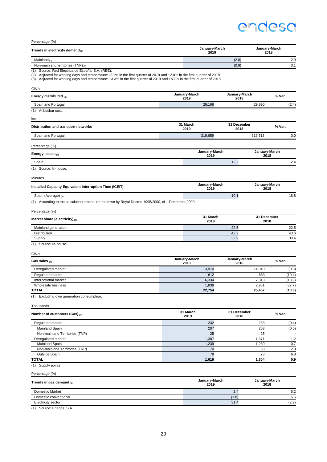Percentage (%)

| Trends in electricity demand (1)   | January-March<br>2019 | January-March<br>2018 |
|------------------------------------|-----------------------|-----------------------|
| Mainland $(2)$                     | (2.8)                 | 2.9                   |
| Non-mainland territories (TNP) (3) | (0.9)                 | 21<br>o.              |

(1) Source: Red Eléctrica de España, S.A. (REE).<br>(2) Adjusted for working days and temperature: -2.1% in the first quarter of 2019 and +2.0% in the first quarter of 2018.<br>(3) Adjusted for working days and temperature: +3.3

| GWh                                                                                                |                       |                       |                       |
|----------------------------------------------------------------------------------------------------|-----------------------|-----------------------|-----------------------|
| Energy distributed (1)                                                                             | January-March<br>2019 | January-March<br>2018 | % Var.                |
| Spain and Portugal                                                                                 | 29,166                | 29,890                | (2.4)                 |
| (1) At busbar cost.                                                                                |                       |                       |                       |
| km                                                                                                 |                       |                       |                       |
| Distribution and transport networks                                                                | 31 March<br>2019      | 31 December<br>2018   | % Var.                |
| Spain and Portugal                                                                                 | 319,659               | 319,613               | 0.0                   |
| Percentage (%)                                                                                     |                       |                       |                       |
| Energy losses $(1)$                                                                                | January-March<br>2019 |                       | January-March<br>2018 |
| Spain                                                                                              |                       | 12.2                  | 12.4                  |
| (1) Source: In-house.                                                                              |                       |                       |                       |
| Minutes                                                                                            |                       |                       |                       |
| Installed Capacity Equivalent Interruption Time (ICEIT)                                            | January-March<br>2019 |                       | January-March<br>2018 |
| Spain (Average) (1)                                                                                |                       | 10.1                  | 18.8                  |
| (1) According to the calculation procedure set down by Royal Decree 1995/2000, of 1 December 2000. |                       |                       |                       |
| Percentage (%)                                                                                     |                       |                       |                       |
| Market share (electricity) (1)                                                                     | 31 March<br>2019      |                       | 31 December<br>2018   |
| Mainland generation                                                                                |                       | 22.5                  | 22.5                  |
| Distribution                                                                                       |                       | 43.2                  | 43.6                  |
| Supply                                                                                             |                       | 32.9                  | 33.4                  |
| (1) Source: In-house.                                                                              |                       |                       |                       |
| GWh                                                                                                |                       |                       |                       |
| Gas sales $(1)$                                                                                    | January-March<br>2019 | January-March<br>2018 | % Var.                |
| Deregulated market                                                                                 | 13,970                | 14,010                | (0.3)                 |
| Regulated market                                                                                   | 612                   |                       | 683<br>(10.4)         |
| International market                                                                               | 6,334                 |                       | 7,813<br>(18.9)       |
| Wholesale business                                                                                 | 1,838                 |                       | 2,951<br>(37.7)       |
| <b>TOTAL</b>                                                                                       | 22,754                | 25,457                | (10.6)                |
| Excluding own generation consumption.<br>(1)                                                       |                       |                       |                       |
| Thousands                                                                                          |                       |                       |                       |
| Number of customers (Gas) (1)                                                                      | 31 March<br>2019      | 31 December<br>2018   | % Var.                |
| Regulated market                                                                                   | 232                   |                       | 233<br>(0.4)          |
| Mainland Spain                                                                                     | 207                   |                       | 208<br>(0.5)          |
| Non-mainland Territories (TNP)                                                                     | 25                    |                       | 25                    |
| Deregulated market                                                                                 | 1,387                 |                       | $1.2$<br>1,371        |
| Mainland Spain                                                                                     | 1,239                 |                       | $0.7\,$<br>1,230      |
| Non-mainland Territories (TNP)                                                                     | 70                    |                       | $2.9\,$<br>68         |
| Outside Spain                                                                                      | 78                    |                       | $6.8\,$<br>73         |
| <b>TOTAL</b><br>(1) Supply points.                                                                 | 1,619                 |                       | 0.9<br>1,604          |
| Percentage (%)                                                                                     |                       |                       |                       |
| Trends in gas demand (1)                                                                           | January-March<br>2019 |                       | January-March<br>2018 |
| Domestic Market                                                                                    |                       | 2.4                   | 5.2                   |
| Domestic conventional                                                                              |                       | (1.8)                 | $6.5\,$               |
| <b>Electricity sector</b>                                                                          |                       | 31.4                  | (2.9)                 |

(1) Source: Enagás, S.A.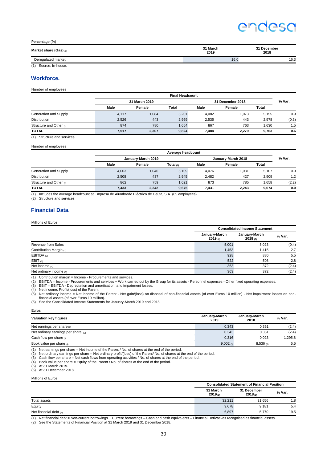Percentage (%)

| Market share (Gas) (1) | 31 March<br>2019 | 31 December<br>2018 |
|------------------------|------------------|---------------------|
| Deregulated market     | 16.0             | 16.3                |

(1) Source: In-house.

#### **Workforce.**

Number of employees

|                         | <b>Final Headcount</b> |        |       |                  |        |       |        |
|-------------------------|------------------------|--------|-------|------------------|--------|-------|--------|
|                         | 31 March 2019          |        |       | 31 December 2018 |        |       | % Var. |
|                         | Male                   | Female | Total | Male             | Female | Total |        |
| Generation and Supply   | 4.117                  | 1,084  | 5,201 | 4.082            | 1,073  | 5.155 | 0.9    |
| <b>Distribution</b>     | 2,526                  | 443    | 2,969 | 2,535            | 443    | 2.978 | (0.3)  |
| Structure and Other (1) | 874                    | 780    | 1.654 | 867              | 763    | 1.630 | 1.5    |
| <b>TOTAL</b>            | 7,517                  | 2,307  | 9,824 | 7.484            | 2.279  | 9,763 | 0.6    |

(1) Structure and services

Number of employees

|                         | Average headcount  |        |           |                    |        |              |        |
|-------------------------|--------------------|--------|-----------|--------------------|--------|--------------|--------|
|                         | January-March 2019 |        |           | January-March 2018 |        |              | % Var. |
|                         | Male               | Female | Total (1) | Male               | Female | <b>Total</b> |        |
| Generation and Supply   | 4.063              | 1.046  | 5.109     | 4.076              | 1.031  | 5.107        | 0.0    |
| <b>Distribution</b>     | 2,508              | 437    | 2.945     | 2.482              | 427    | 2.909        | 1.2    |
| Structure and Other (2) | 862                | 759    | 1.621     | 873                | 785    | 1.658        | (2.2)  |
| <b>TOTAL</b>            | 7,433              | 2,242  | 9,675     | 7,431              | 2.243  | 9,674        | 0.0    |

(1) Includes the average headcount at Empresa de Alumbrado Eléctrico de Ceuta, S.A. (65 employees).

(2) Structure and services

#### **Financial Data.**

Millions of Euros

|                           |                                      | <b>Consolidated Income Statement</b> |        |  |  |
|---------------------------|--------------------------------------|--------------------------------------|--------|--|--|
|                           | January-March<br>2019 <sub>(6)</sub> | January-March<br>$2018_{(6)}$        | % Var. |  |  |
| Revenue from Sales        | 5,001                                | 5,023                                | (0.4)  |  |  |
| Contribution Margin (1)   | 1,453                                | 1.415                                | 2.7    |  |  |
| EBITDA $(2)$              | 928                                  | 880                                  | 5.5    |  |  |
| EBIT $(3)$                | 522                                  | 508                                  | 2.8    |  |  |
| Net income (4)            | 363                                  | 372                                  | (2.4)  |  |  |
| Net ordinary income $(5)$ | 363                                  | 372                                  | (2.4)  |  |  |

(1) Contribution margin = Income - Procurements and services.

(2) EBITDA = Income - Procurements and services + Work carried out by the Group for its assets - Personnel expenses - Other fixed operating expenses.<br>(3) EBIT = EBITDA - Depreciation and amortisation, and impairment losses

(5) Net ordinary income = Net income of the Parent - Net gain/(loss) on disposal of non-financial assets (of over Euros 10 million) - Net impairment losses on nonfinancial assets (of over Euros 10 million).

(6) See the Consolidated Income Statements for January-March 2019 and 2018.

Euros

| <b>Valuation key figures</b>          | January-March<br>2019 | January-March<br>2018 | % Var.  |
|---------------------------------------|-----------------------|-----------------------|---------|
| Net earnings per share $(1)$          | 0.343                 | 0.351                 | (2.4)   |
| Net ordinary earnings per share $(2)$ | 0.343                 | 0.351                 | (2.4)   |
| Cash flow per share $(3)$             | 0.316                 | 0.023                 | 1.295.8 |
| Book value per share $(4)$            | 9.002(5)              | $8.536$ (6)           | 5.5     |

(1) Net earnings per share = Net income of the Parent / No. of shares at the end of the period.<br>
(2) Net ordinary earnings per share = Net ordinary profit/(loss) of the Parent/ No. of shares at the end of<br>
(3) Cash flow p

(2) Net ordinary earnings per share = Net ordinary profit/(loss) of the Parent/ No. of shares at the end of the period.<br>(3) Cash flow per share = Net cash flows from operating activities / No. of shares at the end of the p

(4) Book value per share = Equity of the Parent / No. of shares at the end of the period.

(5) At 31 March 2019. (6) At 31 December 2018

Millions of Euros

|                          |                     | <b>Consolidated Statement of Financial Position</b> |        |  |  |
|--------------------------|---------------------|-----------------------------------------------------|--------|--|--|
|                          | 31 March<br>2019(2) | 31 December<br>2018(2)                              | % Var. |  |  |
| Total assets             | 32,211              | 31.656                                              | 1.8    |  |  |
| Equity                   |                     | 9.678<br>9.181                                      | 5.4    |  |  |
| Net financial debt $(1)$ |                     | 6,897<br>5.770                                      | 19.5   |  |  |
| .<br>$\sim$              | $-$                 |                                                     |        |  |  |

(1) Net financial debt = Non-current borrowings + Current borrowings – Cash and cash equivalents – Financial Derivatives recognised as financial assets.

(2) See the Statements of Financial Position at 31 March 2019 and 31 December 2018.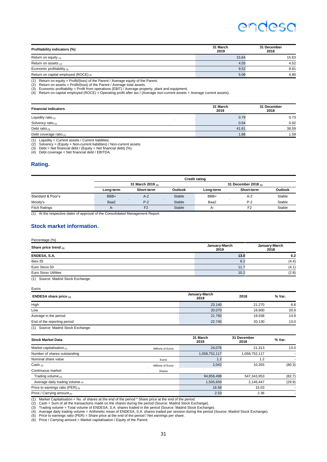| Profitability indicators (%)          | 31 March<br>2019 | 31 December<br>2018 |
|---------------------------------------|------------------|---------------------|
| Return on equity $(1)$                | 15.64            | 15.63               |
| Return on assets $_{(2)}$             | 4.55             | 4.52                |
| Economic profitability $(3)$          | 9.52             | 8.81                |
| Return on capital employed (ROCE) (4) | 5.06             | 4.80                |
|                                       |                  |                     |

(1) Return on equity = Profit/(loss) of the Parent / Average equity of the Parent. (2) Return on assets = Profit/(loss) of the Parent / Average total assets.

(3) Economic profitability = Profit from operations (EBIT) / Average property, plant and equipment. (4) Return on capital employed (ROCE) = Operating profit after tax / (Average non-current assets + Average current assets).

| <b>Financial indicators</b> | 31 March<br>2019 | 31 December<br>2018 |
|-----------------------------|------------------|---------------------|
| Liquidity ratio $(1)$       | 0.79             | 0.73                |
| Solvency ratio $_{(2)}$     | 0.94             | 0.92                |
| Debt ratio $_{(3)}$         | 41.61            | 38.59               |
| Debt coverage ratio $(4)$   | 1.86             | 1.59                |

 $(1)$  Liquidity = Current assets / Current liabilities.

(2) Solvency = (Equity + Non-current liabilities) / Non-current assets. (3) Debt = Net financial debt / (Equity + Net financial debt) (%). (4) Debt coverage = Net financial debt / EBITDA.

#### **Rating.**

|                                                                                     | <b>Credit rating</b>   |                |                |           |                      |                |
|-------------------------------------------------------------------------------------|------------------------|----------------|----------------|-----------|----------------------|----------------|
|                                                                                     | 31 March 2019 $_{(1)}$ |                |                |           | 31 December 2018 (1) |                |
|                                                                                     | Long-term              | Short-term     | <b>Outlook</b> | Long-term | Short-term           | <b>Outlook</b> |
| Standard & Poor's                                                                   | BBB+                   | $A-2$          | <b>Stable</b>  | BBB+      | $A-2$                | Stable         |
| Moody's                                                                             | Baa2                   | $P-2$          | <b>Stable</b>  | Baa2      | $P-2$                | Stable         |
| <b>Fitch Ratings</b>                                                                | $A-$                   | F <sub>2</sub> | <b>Stable</b>  | $A -$     | F <sub>2</sub>       | Stable         |
| 743. And a second of the stress of contract of the Concert Johnson Microsoft Descar |                        |                |                |           |                      |                |

(1) At the respective dates of approval of the Consolidated Management Report.

#### **Stock market information.**

Percentage (%)

Euros

| Share price trend $_{(1)}$  | January-March<br>2019 | January-March<br>2018 |
|-----------------------------|-----------------------|-----------------------|
| ENDESA, S.A.                | 13.0                  | 0.2                   |
| $l$ bex-35                  | 8.2                   | (4.4)                 |
| Euro Stoxx 50               | 11.7                  | (4.1)                 |
| <b>Euro Stoxx Utilities</b> | 10.2                  | (2.8)                 |
|                             |                       |                       |

(1) Source: Madrid Stock Exchange.

**ENDESA share price (1) January-March <sup>2019</sup> <sup>2018</sup> % Var.** High 23.140 21.270 8.8 Low 20.070 16.600 20.9 Average in the period and the period and the period and the period of the period of the period of the period of the period of the period of the period of the period of the period of the period of the period of the period o End of the reporting period 22.740 20.130 20.130 13.0 (1) Source: Madrid Stock Exchange.

| <b>Stock Market Data</b>          |                   | 31 March<br>2019 | 31 December<br>2018 | % Var. |
|-----------------------------------|-------------------|------------------|---------------------|--------|
| Market capitalisation $(1)$       | Millions of Euros | 24,076           | 21,313              | 13.0   |
| Number of shares outstanding      |                   | 1,058,752,117    | 1,058,752,117       |        |
| Nominal share value               | Euros             |                  | 1.2                 |        |
| Cash $(2)$                        | Millions of Euros | 2,043            | 10,355              | (80.3) |
| Continuous market                 | Shares            |                  |                     |        |
| Trading volume $_{(3)}$           |                   | 94,856,498       | 547,343,953         | (82.7) |
| Average daily trading volume (4)  |                   | 1,505,659        | 2,146,447           | (29.9) |
| Price to earnings ratio (PER) (5) |                   | 16.58            | 15.03               |        |
| Price / Carrying amount $(6)$     |                   | 2.53             | 2.36                |        |

(1) Market Capitalisation = No. of shares at the end of the period \* Share price at the end of the period.

(2) Cash = Sum of all the transactions made on the shares during the period (Source: Madrid Stock Exchange).<br>(3) Trading volume = Total volume of ENDESA, S.A. shares traded in the period (Source: Madrid Stock Exchange)

 $(6)$  Price / Carrying amount = Market capitalisation / Equity of the Parent.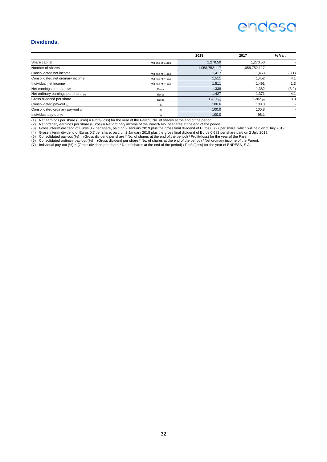#### **Dividends.**

|                                          |                   | 2018          | 2017          | % Var. |
|------------------------------------------|-------------------|---------------|---------------|--------|
| Share capital                            | Millions of Euros | 1,270.50      | 1,270.50      |        |
| Number of shares                         |                   | 1,058,752,117 | 1,058,752,117 |        |
| Consolidated net income                  | Millions of Euros | 1,417         | 1,463         | (3.1)  |
| Consolidated net ordinary income         | Millions of Euros | 1,511         | 1,452         | 4.1    |
| Individual net income                    | Millions of Euros | 1,511         | 1.491         | 1.3    |
| Net earnings per share $(1)$             | Euros             | 1.338         | 1.382         | (3.2)  |
| Net ordinary earnings per share $_{(2)}$ | Euros             | 1.427         | 1.371         | 4.1    |
| Gross dividend per share                 | Euros             | 1.427 $(3)$   | 1.382 $(4)$   | 3.3    |
| Consolidated pay-out (5)                 | $\%$              | 106.6         | 100.0         |        |
| Consolidated ordinary pay-out (6)        | %                 | 100.0         | 100.8         |        |
| Individual pay-out $(7)$                 | %                 | 100.0         | 98.1          |        |

(1) Net earnings per share (Euros) = Profit/(loss) for the year of the Parent/ No. of shares at the end of the period.<br>(3) Net ordinary earnings per share (Euros) = Net ordinary income of the Parent/ No. of shares at the e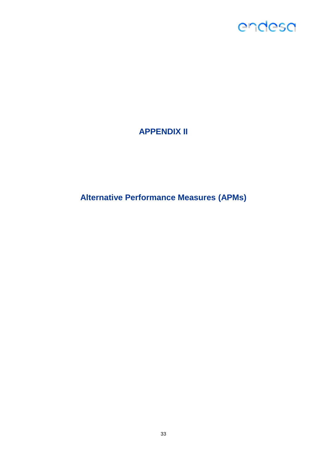### **APPENDIX II**

**Alternative Performance Measures (APMs)**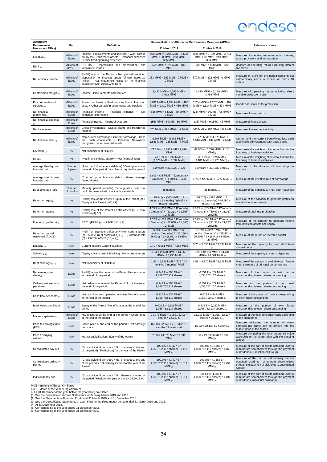| Alternative                              |                      |                                                                                                                                                                                                     | Reconciliation of Alternative Performance Measures (APMs)                                                                             |                                                                                                                                        |                                                                                                                                                    |
|------------------------------------------|----------------------|-----------------------------------------------------------------------------------------------------------------------------------------------------------------------------------------------------|---------------------------------------------------------------------------------------------------------------------------------------|----------------------------------------------------------------------------------------------------------------------------------------|----------------------------------------------------------------------------------------------------------------------------------------------------|
| Performance<br><b>Measures (APMs)</b>    | Unit                 | Definition                                                                                                                                                                                          | 31 March 2019                                                                                                                         | 31 March 2018                                                                                                                          | Relevance of use                                                                                                                                   |
| EBITDA <sub>(1)</sub>                    | Millions of<br>Euros | Income - Procurements and services + Work carried<br>out by the Group for its assets - Personnel expenses<br>- Other fixed operating expenses                                                       | 928 MM $\epsilon$ = 5,085 MM $\epsilon$ - 3,632<br>MME + 38 MME - 258 MME -<br>305 MM€                                                | 880 MM€ = 5,169 MM€ - 3,754<br>MME + 32 MME - 213 MME -<br>354 MM€                                                                     | Measure of operating return excluding interest,<br>taxes, provisions and amortisation                                                              |
| $EBIT_{(1)}$                             | Millions of<br>Euros | Depreciation and amortisation, and<br>EBITDA<br>$\sim$<br>impairment losses                                                                                                                         | 522 MM€ = 928 MM€ - 406<br>MM€                                                                                                        | 508 MM $\epsilon$ = 880 MM $\epsilon$ - 372<br>MM€                                                                                     | Measure of operating return excluding interest<br>and taxes                                                                                        |
| Net ordinary income                      | Millions of<br>Euros | Profit/(loss) of the Parent - Net gains/(losses) on<br>disposal of non-financial assets (of over Euros 10<br>million) - Net impairment losses on non-financial<br>assets (of over Euros 10 million) | 363 MM€ = 363 MM€ - 0 MM€ +<br>$0$ MM $\epsilon$                                                                                      | 372 MM€ = 372 MM€ - 0 MM€ -<br>0 MM€                                                                                                   | Measure of profit for the period stripping out<br>extraordinary items in excess of Euros 10<br>million.                                            |
| Contribution margin (1)                  | Millions of<br>Euros | Income - Procurements and services                                                                                                                                                                  | 1,453 MM€ = 5,085 MM€ -<br>3,632 MM€                                                                                                  | $1,415$ MME = 5,169 MME -<br>3,754 MM€                                                                                                 | Measure of operating return including direct<br>variable production costs                                                                          |
| Procurements and<br>$s$ ervices $_{(1)}$ | Millions of<br>Euros | Power purchases + Fuel consumption + Transport<br>costs + Other variable procurements and services                                                                                                  | 3,632 MME = 1,284 MME + 490<br>MM€ + 1,419 MM€ + 439 MM€                                                                              | 3,754 MME = 1,257 MME + 492<br>MM€ + 1,514 MM€ + 491 MM€                                                                               | Goods and services for production                                                                                                                  |
| Net financial<br>profit/(loss) $_{(1)}$  | Millions of<br>Euros | Financial income - Financial expense +- Net<br>exchange differences                                                                                                                                 | $(53)$ MME = 5 MME - 60 MME +<br>2 MM€                                                                                                | $(28)$ MME = 9 MME - 42 MME +<br>5 MM€                                                                                                 | Measure of financial cost                                                                                                                          |
| Net financial expense                    | Millions of<br>Euros | Financial income - Financial expense                                                                                                                                                                | $(55)$ MME = 5 MME - 60 MME                                                                                                           | $(33)$ MME = 9 MME - 42 MME                                                                                                            | Measure of financial cost                                                                                                                          |
| Net investment                           | Millions of<br>Euros | Gross investments - Capital grants and transferred<br>facilities                                                                                                                                    | 376 MM€ = 395 MM€ - 19 MM€                                                                                                            | 165 MM€ = 197 MM€ - 32 MM€                                                                                                             | Measure of investment activity                                                                                                                     |
| Net financial debt $_{(2)}$              | Millions of<br>Euros | Non-current borrowings + Current borrowings - Cash<br>and cash equivalents - Financial Derivatives<br>recognised under financial assets                                                             | 6,897 MM€ = 5,283 MM€ +<br>1,856 MM€ - 235 MM€ - 7 MM€                                                                                | 5,770 MM $\epsilon$ = 4,975 MM $\epsilon$ +<br>1,046 MM€ - 244 MM€ - 7 MM€<br>(4)                                                      | Current and non-current borrowings, less cash<br>and financial investment cash equivalents                                                         |
| Leverage $(2)$                           | $\%$                 | Net financial debt / Equity                                                                                                                                                                         | $71.26\% = 6,897$ MME / 9,678<br>MM€                                                                                                  | $62.85\% = 5,770$ MME / 9,181<br>$MME_{(4)}$                                                                                           | Measure of the weighting of external funds in the<br>financing of business activities                                                              |
| Debt $_{(2)}$                            | $\%$                 | Net financial debt / (Equity + Net financial debt)                                                                                                                                                  | $41.61\% = 6,897$ MME /<br>$(9,678 \text{ MM} \in + 6,897 \text{ MM} \in )$                                                           | $38.59\% = 5,770$ MME /<br>(9,181 MM€ + 5,770 MM€) (4)                                                                                 | Measure of the weighting of external funds in the<br>financing of business activities                                                              |
| Average life of gross<br>financial debt  | Number<br>of years   | (Principal * Number of valid days) / (Valid principal at<br>the end of the period * Number of days in the period)                                                                                   | 5.2 years = $37,122 / 7,120$                                                                                                          | 5.3 years = $32,163/6,015$ (4)                                                                                                         | Measure of the duration of borrowings to<br>maturity                                                                                               |
| Average cost of gross<br>financial debt  | $\%$                 | (Cost of gross financial debt) / Gross average<br>financial debt                                                                                                                                    | $1.8\% = (33 \text{ M/m} \epsilon \cdot (12 \text{ months})$<br>3 months) + 1 MM€) / 7,438<br>MM€                                     | 1.9% = 126 MME / 6,777 MME (4)                                                                                                         | Measure of the effective rate of borrowings                                                                                                        |
| Debt coverage ratio                      | Number<br>of months  | Maturity period (months) for vegetative debt that<br>could be covered with the liquidity available                                                                                                  | 35 months                                                                                                                             | 26 months $(4)$                                                                                                                        | Measure of the capacity to meet debt maturities                                                                                                    |
| Return on equity                         | $\%$                 | Profit/(loss) of the Parent / Equity of the Parent (n) +<br>Equity of the Parent (n-1) / 2)                                                                                                         | $15.64\% = (363 \text{ M})\in \text{*} 12$<br>months / 3 months) / $((9,531 +$<br>9,037) / 2) MM€                                     | $16.02\% = (372 \text{ MME} * 12)$<br>months / 3 months) / $((9,480 +$<br>9,096) / 2) MM€                                              | Measure of the capacity to generate profits on<br>shareholder investments                                                                          |
| Return on assets                         | $\%$                 | Profit/(loss) of the Parent / Total assets (n) + Total<br>assets (n-1) / 2)                                                                                                                         | $4.55\% = (363 \text{ MM} \in \text{*} 12 \text{ months})$<br>/ 3 months) / ((32,211 + 31,656)<br>$/2)$ MM $\in$                      | $4.80\% = (372 \text{ MME}^* 12 \text{ months}$<br>/ 3 months) / ((30,999 + 31,037)<br>$/2)$ MM $\in$                                  | Measure of business profitability                                                                                                                  |
| Economic profitability                   | $\%$                 | EBIT / (PP&E (n) + PP&E (n-1) / 2)                                                                                                                                                                  | $9.52\% = (522 \text{ MME} * 12 \text{ months})$<br>/ 3 months) / ((22,038 + 21,840)<br>$/2)$ MM $\in$                                | $9.39\% = (508 \text{ M})\in \text{*} 12 \text{ months}$<br>/ 3 months) / ((21,556 + 21,727)<br>$/2)$ MM $\in$                         | Measure of the capacity to generate income<br>from invested assets and capital                                                                     |
| Return on capital<br>employed (ROCE)     | %                    | Profit from operations after tax / ((Non-current assets<br>$(n)$ + Non-current assets $(n-1)$ / 2) + (Current assets<br>$(n) +$ Current assets $(n-1) / 2$ )                                        | $5.06\% = (403.9 \text{ MM} \in \text{*} 12)$<br>months / 3 months) / ((26,250 +<br>$26,001$ / 2 + $(5,961 + 5,655)$ /<br>2) MM $\in$ | $5.07\% = (392.8 \text{ M/m} \in \text{*} 12)$<br>months / 3 months) / ((25,451 +<br>$25,507$ / 2 + $(5,548 + 5,530)$ /<br>2) MM $\in$ | Measure of the return on invested capital                                                                                                          |
| Liquidity $_{(2)}$                       | N/A                  | Current assets / Current liabilities                                                                                                                                                                | $0.79 = 5,961$ MME / 7,565 MME                                                                                                        | $0.73 = 5,655$ MME / 7,694 MME                                                                                                         | Measure of the capacity to meet short term<br>commitments                                                                                          |
| Solvency $(2)$                           | N/A                  | (Equity + Non-current liabilities) / Non-current assets                                                                                                                                             | $0.94 = (9,678 \text{ M/m} \epsilon + 14,968$<br>MM€) / 26,250 MM€                                                                    | $0.92 = (9,181 \text{ MM} \in + 14,781$<br>MM€) / 26,001 MM€ (4)                                                                       | Measure of the capacity to meet obligations                                                                                                        |
| Debt coverage $(1)$ $(2)$                | N/A                  | Net financial debt / EBITDA                                                                                                                                                                         | $1.86 = 6,897$ MME / (928 * 12)<br>months / 3 months) $MM \in$                                                                        | $1.59 = 5,770$ MM€ / 3,627 MM€<br>(4)                                                                                                  | Measure of the amount of available cash flow to<br>meet payments of principal on borrowings                                                        |
| Net earnings per<br>share $(1)$          | Euros                | Profit/(loss) of the period of the Parent / No. of shares<br>at the end of the period                                                                                                               | $0.343 \in$ = 363 MM€ /<br>1,058,752,117 shares                                                                                       | $0.351 \in$ = 372 MM€ /<br>1,058,752,117 shares.                                                                                       | Measure of the portion of net income<br>corresponding to each share outstanding                                                                    |
| Ordinary net earnings<br>per snare       | Euros                | Net ordinary income of the Parent / No. of shares at<br>the end of the period                                                                                                                       | $0.343 \in 363$ MM€ /<br>1,058,752,117 shares                                                                                         | $0.351 \in 372$ MM€ /<br>1,058,752,117 shares.                                                                                         | Measure of the portion of net profit<br>corresponding to each share outstanding                                                                    |
| Cash flow per share $(3)$                | Euros                | Net cash flow from operating activities / No. of shares<br>at the end of the period                                                                                                                 | $0.316 \in$ = 335 MM€ /<br>1,058,752,117 shares                                                                                       | $0.023 \in 24$ MM€ /<br>1,058,752,117 shares.                                                                                          | Measure of the portion of funds corresponding<br>to each share outstanding                                                                         |
| Book Value per Share                     | Euros                | Equity of the Parent / No. of shares at the end of the<br>period                                                                                                                                    | $9.002 \in 9.531$ MM€ /<br>1,058,752,117 shares                                                                                       | $8.536 \in$ = 9,037 MM€ /<br>1,058,752,117 shares (4)                                                                                  | Measure of the portion of own funds<br>corresponding to each share outstanding                                                                     |
| Market capitalisation                    | Millions of<br>Euros | No. of shares at the end of the period * Share price<br>at the end of the period                                                                                                                    | 24,076 MM€ = 1,058,752,117<br>shares * 22.740 €                                                                                       | 21,313 MM€ = 1,058,752,117<br>shares * 20.130 $\epsilon$ <sub>(4)</sub>                                                                | Measure of the total enterprise value according<br>to the share price                                                                              |
| Price to earnings ratio<br>(PER)         | N/A                  | Share price at the end of the period / Net earnings<br>per share                                                                                                                                    | $16.58 = 22.740 \text{ € } / (0.343 \text{ * } 12)$<br>months / 3 months) $\in$                                                       | 15.03 = 20.130 € / 1.339 € (4)                                                                                                         | Measure indicating the number of times<br>earnings per share can be divided into the<br>market price of the shares                                 |
| Price / Carrying<br>amount               | N/A                  | Market capitalisation / Equity of the Parent                                                                                                                                                        | $2.53 = 24,076$ MME / 9,531<br>MM€                                                                                                    | $2.36 = 21,313$ MME / 9,037<br>$MME_{(4)}$                                                                                             | Measure comparing the total enterprise value<br>according to the share price with the carrying<br>amount                                           |
| Consolidated pay-out                     | $\%$                 | (Gross dividend per share * No. of shares at the end<br>of the period) / Profit/(loss) for the year of the Parent                                                                                   | $106.6\% = (1.427 \in$ *<br>1,058,752,117 shares) / 1,417<br>MM $\epsilon_{(5)}$                                                      | $100.0\% = (1.382 \in$ <sup>*</sup><br>1,058,752,117 shares) / 1,463<br>MM $\epsilon_{(6)}$                                            | Measure of the part of profits obtained used to<br>remunerate shareholders through the payment<br>of dividends (Consolidated Group)                |
| Consolidated ordinary<br>pay-out         | $\%$                 | (Gross dividend per share * No. of shares at the end<br>of the period) / Net ordinary income for the year of the<br>Parent                                                                          | $100.0\% = (1.427 \in$ <sup>*</sup><br>1,058,752,117 shares) / 1,511<br>MM $\epsilon_{(5)}$                                           | $100.8\% = (1.382 \text{ } \in \text{*})$<br>1,058,752,117 shares) / 1,452<br>$MME_{(6)}$                                              | Measure of the part of net ordinary income<br>obtained used to remunerate shareholders<br>through the payment of dividends (Consolidated<br>Group) |
| Individual pay-out                       | $\%$                 | (Gross dividend per share * No. shares at the end of<br>the period / Profit for the year of the ENDESA, S.A.                                                                                        | $100.0\% = (1.427 \in$ *<br>1,058,752,117 shares) / 1,511<br>MM $\epsilon_{(5)}$                                                      | $98.1\% = (1.382 \in$ *<br>1,058,752,117 shares) / 1,491<br>MM $\epsilon_{(6)}$                                                        | Measure of the part of profits obtained used to<br>remunerate shareholders through the payment<br>of dividends (individual company)                |

MME = millions of Euros;  $\epsilon =$  Euros.<br>n = 31 March of the year being calculated.<br>n-1 = 31 December of the year before the year being calculated.<br>(1) See the Consolidated Income Statements for January-March 2019 and 2018.<br>(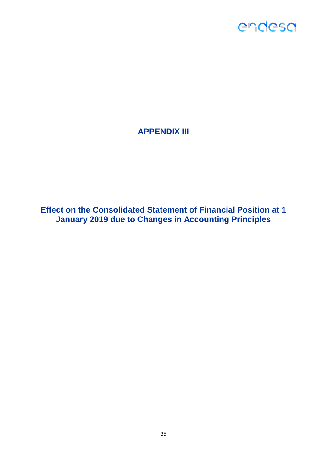### **APPENDIX III**

**Effect on the Consolidated Statement of Financial Position at 1 January 2019 due to Changes in Accounting Principles**